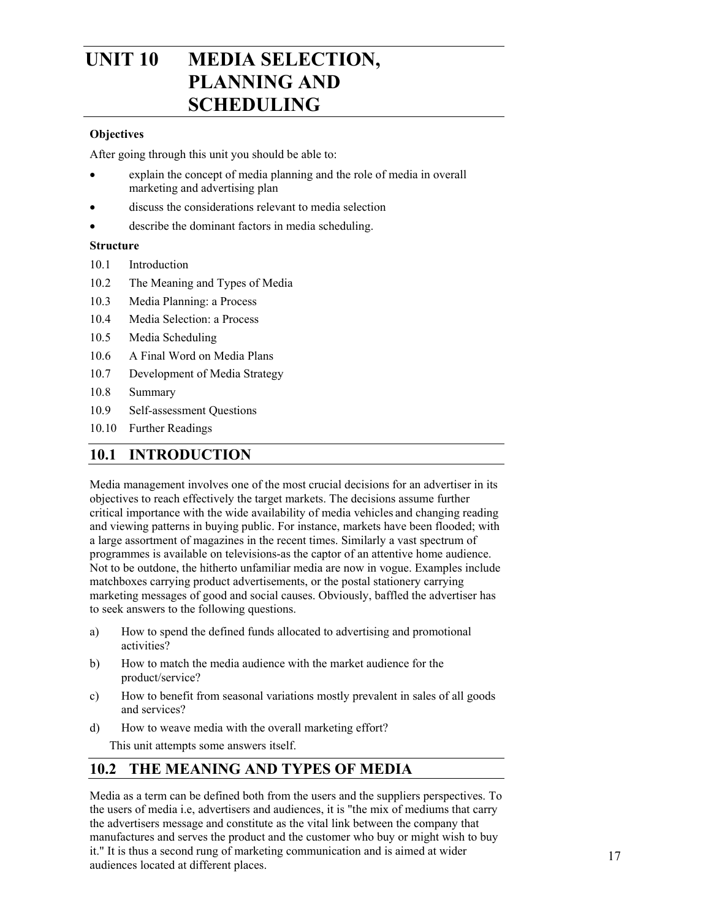# **UNIT 10 MEDIA SELECTION, PLANNING AND SCHEDULING**

# **Objectives**

After going through this unit you should be able to:

- explain the concept of media planning and the role of media in overall marketing and advertising plan
- discuss the considerations relevant to media selection
- describe the dominant factors in media scheduling.

### **Structure**

- 10.1 Introduction
- 10.2 The Meaning and Types of Media
- 10.3 Media Planning: a Process
- 10.4 Media Selection: a Process
- 10.5 Media Scheduling
- 10.6 A Final Word on Media Plans
- 10.7 Development of Media Strategy
- 10.8 Summary
- 10.9 Self-assessment Questions
- 10.10 Further Readings

# **10.1 INTRODUCTION**

Media management involves one of the most crucial decisions for an advertiser in its objectives to reach effectively the target markets. The decisions assume further critical importance with the wide availability of media vehicles and changing reading and viewing patterns in buying public. For instance, markets have been flooded; with a large assortment of magazines in the recent times. Similarly a vast spectrum of programmes is available on televisions-as the captor of an attentive home audience. Not to be outdone, the hitherto unfamiliar media are now in vogue. Examples include matchboxes carrying product advertisements, or the postal stationery carrying marketing messages of good and social causes. Obviously, baffled the advertiser has to seek answers to the following questions.

- a) How to spend the defined funds allocated to advertising and promotional activities?
- b) How to match the media audience with the market audience for the product/service?
- c) How to benefit from seasonal variations mostly prevalent in sales of all goods and services?
- d) How to weave media with the overall marketing effort? This unit attempts some answers itself.

# **10.2 THE MEANING AND TYPES OF MEDIA**

Media as a term can be defined both from the users and the suppliers perspectives. To the users of media i.e, advertisers and audiences, it is "the mix of mediums that carry the advertisers message and constitute as the vital link between the company that manufactures and serves the product and the customer who buy or might wish to buy it." It is thus a second rung of marketing communication and is aimed at wider audiences located at different places.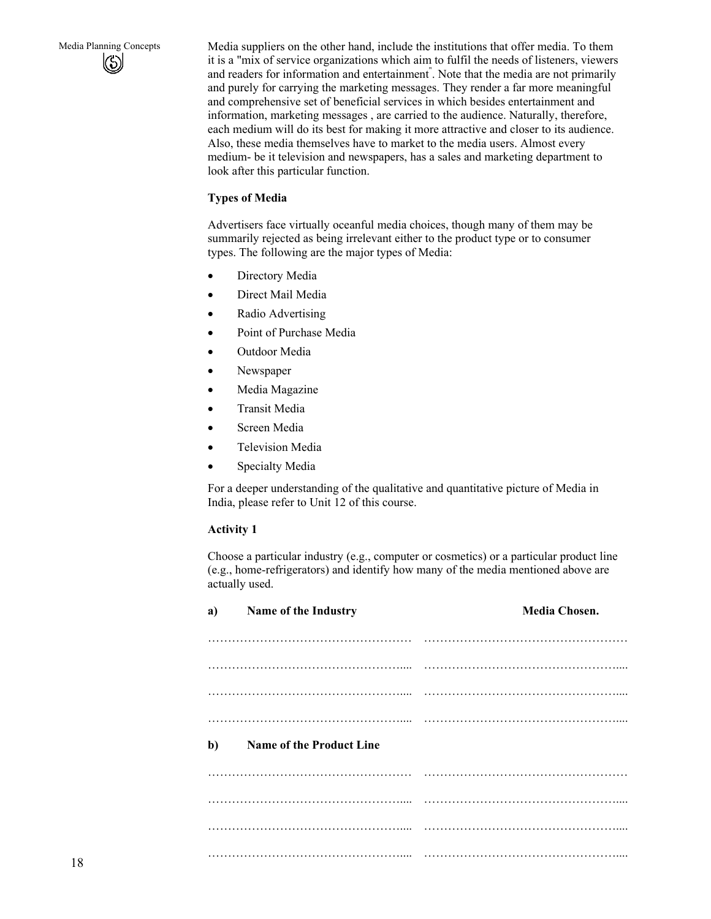Media Planning Concepts Media suppliers on the other hand, include the institutions that offer media. To them it is a "mix of service organizations which aim to fulfil the needs of listeners, viewers and readers for information and entertainment" . Note that the media are not primarily and purely for carrying the marketing messages. They render a far more meaningful and comprehensive set of beneficial services in which besides entertainment and information, marketing messages , are carried to the audience. Naturally, therefore, each medium will do its best for making it more attractive and closer to its audience. Also, these media themselves have to market to the media users. Almost every medium- be it television and newspapers, has a sales and marketing department to look after this particular function.

# **Types of Media**

Advertisers face virtually oceanful media choices, though many of them may be summarily rejected as being irrelevant either to the product type or to consumer types. The following are the major types of Media:

- Directory Media
- Direct Mail Media
- Radio Advertising
- Point of Purchase Media
- Outdoor Media
- Newspaper
- Media Magazine
- Transit Media
- Screen Media
- Television Media
- Specialty Media

For a deeper understanding of the qualitative and quantitative picture of Media in India, please refer to Unit 12 of this course.

### **Activity 1**

Choose a particular industry (e.g., computer or cosmetics) or a particular product line (e.g., home-refrigerators) and identify how many of the media mentioned above are actually used.

| a) | Name of the Industry            | <b>Media Chosen.</b> |
|----|---------------------------------|----------------------|
|    |                                 |                      |
|    |                                 |                      |
|    |                                 |                      |
|    |                                 |                      |
| b) | <b>Name of the Product Line</b> |                      |
|    |                                 |                      |
|    |                                 |                      |
|    |                                 |                      |
|    |                                 |                      |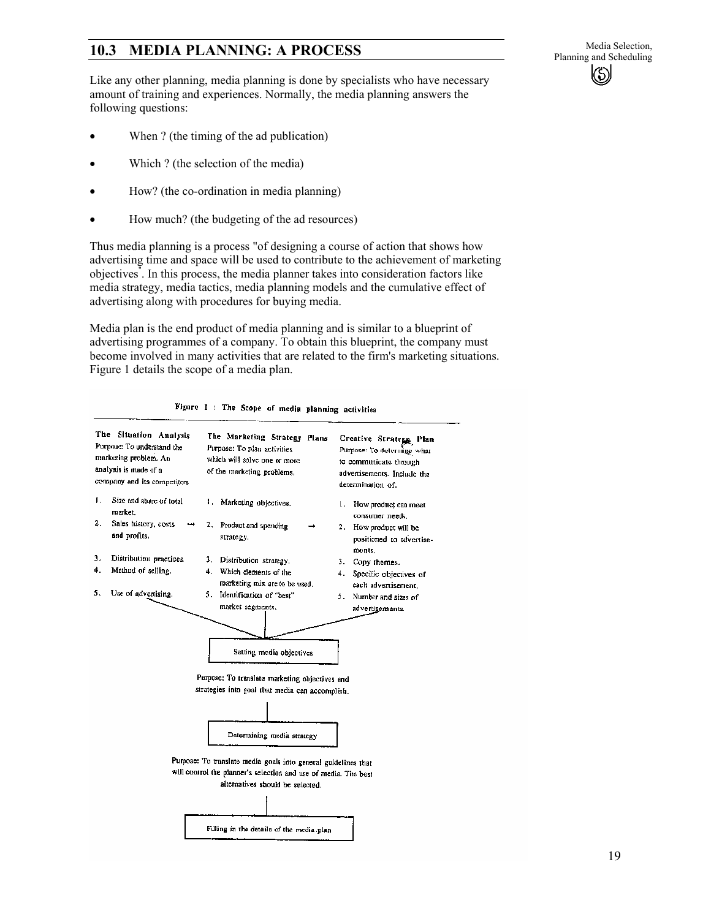# 10.3 MEDIA PLANNING: A PROCESS

Like any other planning, media planning is done by specialists who have necessary amount of training and experiences. Normally, the media planning answers the following questions:

Media Selection,<br>Planning and Scheduling  $\circledS$ 

- When ? (the timing of the ad publication)
- Which ? (the selection of the media)
- How? (the co-ordination in media planning)
- How much? (the budgeting of the ad resources)

Thus media planning is a process "of designing a course of action that shows how advertising time and space will be used to contribute to the achievement of marketing objectives" . In this process, the media planner takes into consideration factors like media strategy, media tactics, media planning models and the cumulative effect of advertising along with procedures for buying media.

Media plan is the end product of media planning and is similar to a blueprint of advertising programmes of a company. To obtain this blueprint, the company must become involved in many activities that are related to the firm's marketing situations. Figure 1 details the scope of a media plan.

|          | The Situation Analysis<br>Purpose: To understand the<br>marketing problem. An<br>analysis is made of a |    | The Marketing Strategy Plans<br>Purpose: To plan activities<br>which will solve one or more<br>of the marketing problems.                                             | Creative Strategg Plan<br>Purpose: To determing what<br>to communicate through<br>advertisements. Include the |
|----------|--------------------------------------------------------------------------------------------------------|----|-----------------------------------------------------------------------------------------------------------------------------------------------------------------------|---------------------------------------------------------------------------------------------------------------|
| ۱.       | company and its competitors<br>Size and share of total                                                 | ۱. | Marketing objectives,                                                                                                                                                 | determination of.<br>ι.<br>How product can meet                                                               |
| 2.       | market.<br>Sales history, costs<br>and profits.                                                        | 2. | Product and spending<br>strategy.                                                                                                                                     | consumer needs.<br>2. How product will be<br>positioned to advertise-<br>ments.                               |
| 3.<br>4. | Distribution practices.<br>Method of selling.                                                          | 3. | Distribution strategy.<br>4. Which elements of the<br>marketing mix are to be used.                                                                                   | 3. Copy themes.<br>4.<br>Specific objectives of<br>each advertisement.                                        |
| 5.       | Use of advertising.                                                                                    |    | 5. Identification of "best"<br>market segments.                                                                                                                       | 5. Number and sizes of<br>advertisements.                                                                     |
|          |                                                                                                        |    | Setting media objectives<br>Purpose: To translate marketing objectives and<br>strategies into goal that media can accomplish.                                         |                                                                                                               |
|          |                                                                                                        |    | Determining media strategy                                                                                                                                            |                                                                                                               |
|          |                                                                                                        |    | Purpose: To translate media goals into general guidelines that<br>will control the planner's selection and use of media. The best<br>alternatives should be selected. |                                                                                                               |
|          |                                                                                                        |    | Filling in the details of the media plan                                                                                                                              |                                                                                                               |

Figure I : The Scope of media planning activities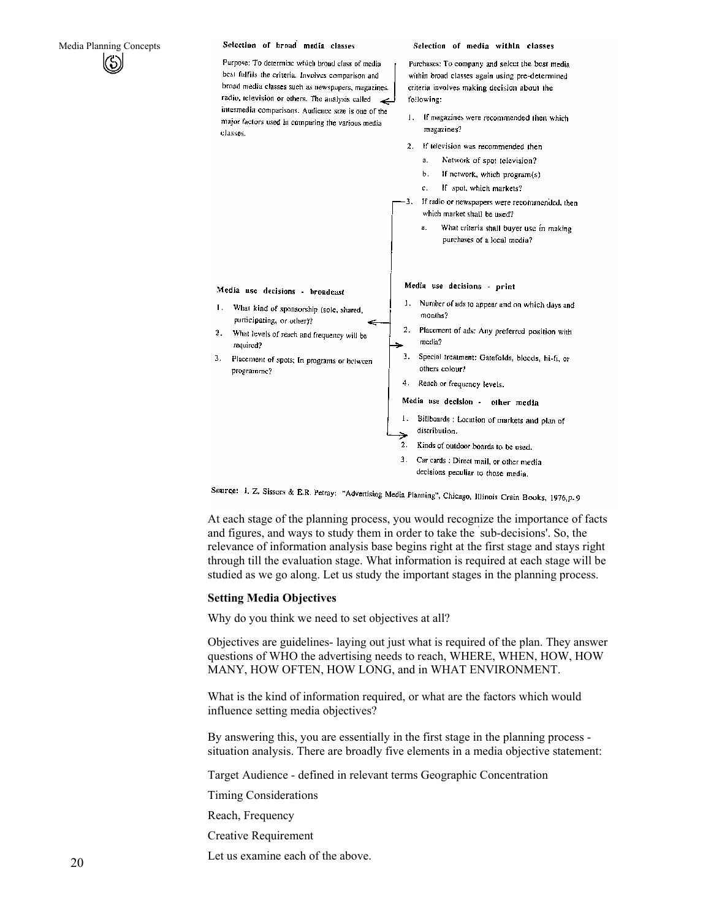Selection of broad media classes

Purpose: To determine which broad class of media best fulfils the criteria. Involves comparison and broad media classes such as newspapers, magazines. radio, television or others. The analysis called intermedia comparisons. Audience size is one of the major factors used hi comparing the various media classes.

#### Selection of media within classes

Parchases: To company and select the best media within broad classes again using pre-determined criteria involves making decision about the following:

- 1. If magazines were recommended then which magazines?
- $2<sup>1</sup>$ If television was recommended then
	- Network of spot television?  $a_{-}$
	- Ь. If network, which program(s)
	- If spot, which markets? c.
- If radio or newspapers were recommended, then  $-3.$ which market shall be used?
	- What criteria shall buyer use in making а. purchases of a local media?

#### Media use decisions - broadcast

- 1. What kind of sponsorship (sole, shared, participating, or other)?
- What levels of reach and frequency will be  $2.$ required?
- 3. Placement of spots; In programs or between programme?

#### Media use decisions - print

- 1. Number of ads to appear and on which days and months?
- $2.$ Placement of ads: Any preferred position with media?
- $\mathbf{R}$ Special treatment: Gatefolds, bloods, hi-fi, or others colour?
- 4. Reach or frequency levels.

distribution.

- Media use decision other media
- 1. Billboards : Location of markets and plan of
- Kinds of outdoor boards to be used.  $2.$
- 
- 3. Car cards : Direct mail, or other media decisions peculiar to those media.

Source: J. Z. Sissors & E.R. Petray: "Adventising Media Planning", Chicago, Illinois Crain Books, 1976,p. 9

At each stage of the planning process, you would recognize the importance of facts and figures, and ways to study them in order to take the ` sub-decisions'. So, the relevance of information analysis base begins right at the first stage and stays right through till the evaluation stage. What information is required at each stage will be studied as we go along. Let us study the important stages in the planning process.

#### **Setting Media Objectives**

Why do you think we need to set objectives at all?

Objectives are guidelines- laying out just what is required of the plan. They answer questions of WHO the advertising needs to reach, WHERE, WHEN, HOW, HOW MANY, HOW OFTEN, HOW LONG, and in WHAT ENVIRONMENT.

What is the kind of information required, or what are the factors which would influence setting media objectives?

By answering this, you are essentially in the first stage in the planning process situation analysis. There are broadly five elements in a media objective statement:

Target Audience - defined in relevant terms Geographic Concentration

Timing Considerations

Reach, Frequency

Creative Requirement

Let us examine each of the above.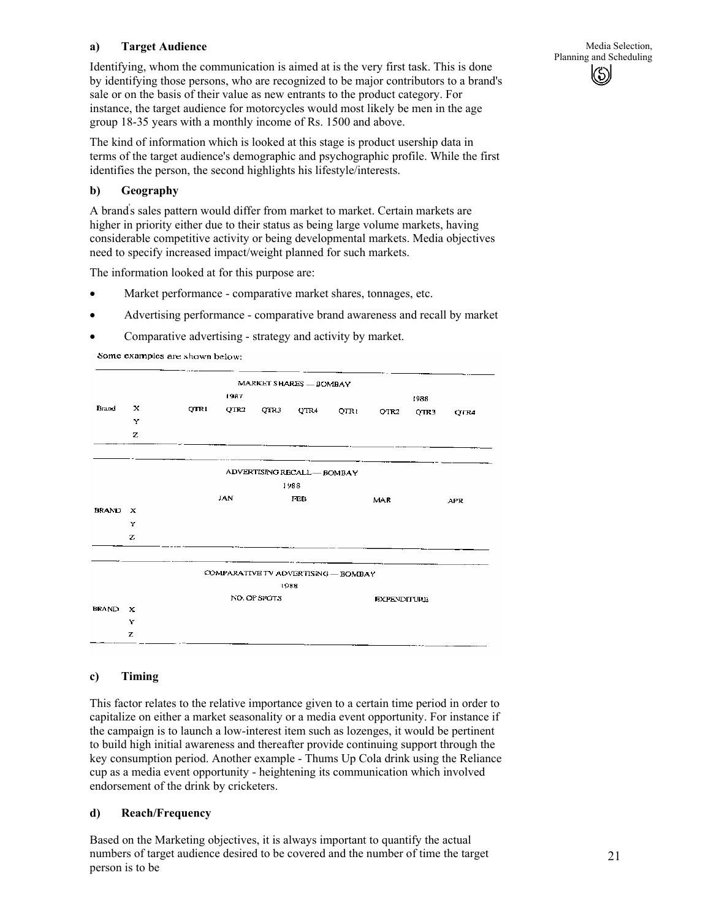### **a) Target Audience**

Identifying, whom the communication is aimed at is the very first task. This is done by identifying those persons, who are recognized to be major contributors to a brand's sale or on the basis of their value as new entrants to the product category. For instance, the target audience for motorcycles would most likely be men in the age group 18-35 years with a monthly income of Rs. 1500 and above.

The kind of information which is looked at this stage is product usership data in terms of the target audience's demographic and psychographic profile. While the first identifies the person, the second highlights his lifestyle/interests.

### **b) Geography**

A brand' s sales pattern would differ from market to market. Certain markets are higher in priority either due to their status as being large volume markets, having considerable competitive activity or being developmental markets. Media objectives need to specify increased impact/weight planned for such markets.

The information looked at for this purpose are:

- Market performance comparative market shares, tonnages, etc.
- Advertising performance comparative brand awareness and recall by market
- Comparative advertising strategy and activity by market.

Some examples are shown below:

|              |                           |      |                  |              | MARKET SHARES - BOMBAY              |      |                    |      |            |
|--------------|---------------------------|------|------------------|--------------|-------------------------------------|------|--------------------|------|------------|
|              |                           |      | 1987             |              |                                     |      |                    | 1988 |            |
| Brand        | ×                         | QTR1 | QTR <sub>2</sub> | QTR3         | QTR4                                | OTRI | OTR <sub>2</sub>   | QTR3 | QTR4       |
|              | Y                         |      |                  |              |                                     |      |                    |      |            |
|              | z                         |      |                  |              |                                     |      |                    |      |            |
|              |                           |      |                  |              | ADVERTISING RECALL - BOMBAY         |      |                    |      |            |
|              |                           |      |                  |              | 1988                                |      |                    |      |            |
| <b>BRAND</b> |                           |      | <b>JAN</b>       |              | <b>FEB</b>                          |      | MAR                |      | <b>APR</b> |
|              | x                         |      |                  |              |                                     |      |                    |      |            |
|              | Y                         |      |                  |              |                                     |      |                    |      |            |
|              | z                         |      |                  |              |                                     |      |                    |      |            |
|              |                           |      |                  |              | COMPARATIVE TV ADVERTISING - BOMBAY |      |                    |      |            |
|              |                           |      |                  |              | 1988                                |      |                    |      |            |
|              |                           |      |                  | NO. OF SPOTS |                                     |      | <b>EXPENDITURE</b> |      |            |
| <b>BRAND</b> | $\boldsymbol{\mathsf{x}}$ |      |                  |              |                                     |      |                    |      |            |
|              | Y                         |      |                  |              |                                     |      |                    |      |            |
|              | z                         |      |                  |              |                                     |      |                    |      |            |

### **c) Timing**

This factor relates to the relative importance given to a certain time period in order to capitalize on either a market seasonality or a media event opportunity. For instance if the campaign is to launch a low-interest item such as lozenges, it would be pertinent to build high initial awareness and thereafter provide continuing support through the key consumption period. Another example - Thums Up Cola drink using the Reliance cup as a media event opportunity - heightening its communication which involved endorsement of the drink by cricketers.

### **d) Reach/Frequency**

Based on the Marketing objectives, it is always important to quantify the actual numbers of target audience desired to be covered and the number of time the target person is to be

Media Selection, Planning and Scheduling  $\left(\bullet\right)$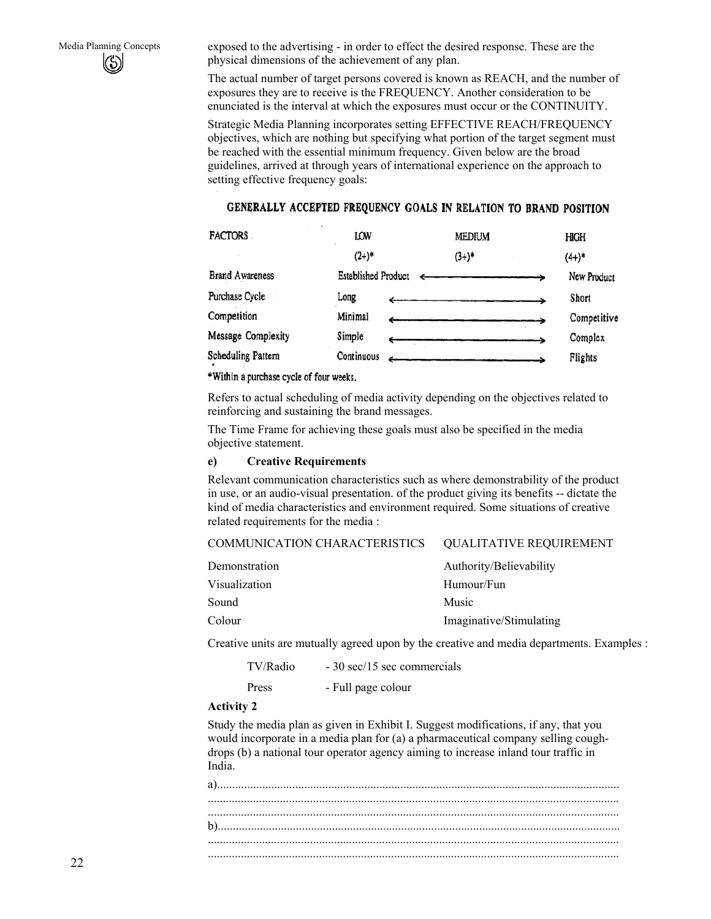Media Planning Concepts exposed to the advertising - in order to effect the desired response. These are the physical dimensions of the achievement of any plan.

> The actual number of target persons covered is known as REACH, and the number of exposures they are to receive is the FREQUENCY. Another consideration to be enunciated is the interval at which the exposures must occur or the CONTINUITY.

Strategic Media Planning incorporates setting EFFECTIVE REACH/FREQUENCY objectives, which are nothing but specifying what portion of the target segment must be reached with the essential minimum frequency. Given below are the broad guidelines, arrived at through years of international experience on the approach to setting effective frequency goals:

### GENERALLY ACCEPTED FREQUENCY GOALS IN RELATION TO BRAND POSITION

| FACTORS                | LOW        | MEDIUM   | HIGH        |
|------------------------|------------|----------|-------------|
|                        | $(2+)$ *   | $(3+)$ * | $(4+)^{*}$  |
| <b>Brand Awareness</b> |            |          | New Product |
| Purchase Cycle         | Long       |          | Short       |
| Competition            | Minimal    |          | Competitive |
| Message Complexity     | Simple     |          | Complex     |
| Scheduling Pattern     | Continuous |          | Flights     |

### \*Within a purchase cycle of four weeks.

Refers to actual scheduling of media activity depending on the objectives related to reinforcing and sustaining the brand messages.

The Time Frame for achieving these goals must also be specified in the media objective statement.

### **e) Creative Requirements**

Relevant communication characteristics such as where demonstrability of the product in use, or an audio-visual presentation. of the product giving its benefits -- dictate the kind of media characteristics and environment required. Some situations of creative related requirements for the media :

COMMUNICATION CHARACTERISTICS QUALITATIVE REQUIREMENT

| Demonstration | Authority/Believability |
|---------------|-------------------------|
| Visualization | Humour/Fun              |
| Sound         | <b>Music</b>            |
| Colour        | Imaginative/Stimulating |

Creative units are mutually agreed upon by the creative and media departments. Examples :

| TV/Radio | - 30 sec/15 sec commercials |
|----------|-----------------------------|
| Press    | - Full page colour          |

### **Activity 2**

Study the media plan as given in Exhibit I. Suggest modifications, if any, that you would incorporate in a media plan for (a) a pharmaceutical company selling coughdrops (b) a national tour operator agency aiming to increase inland tour traffic in India.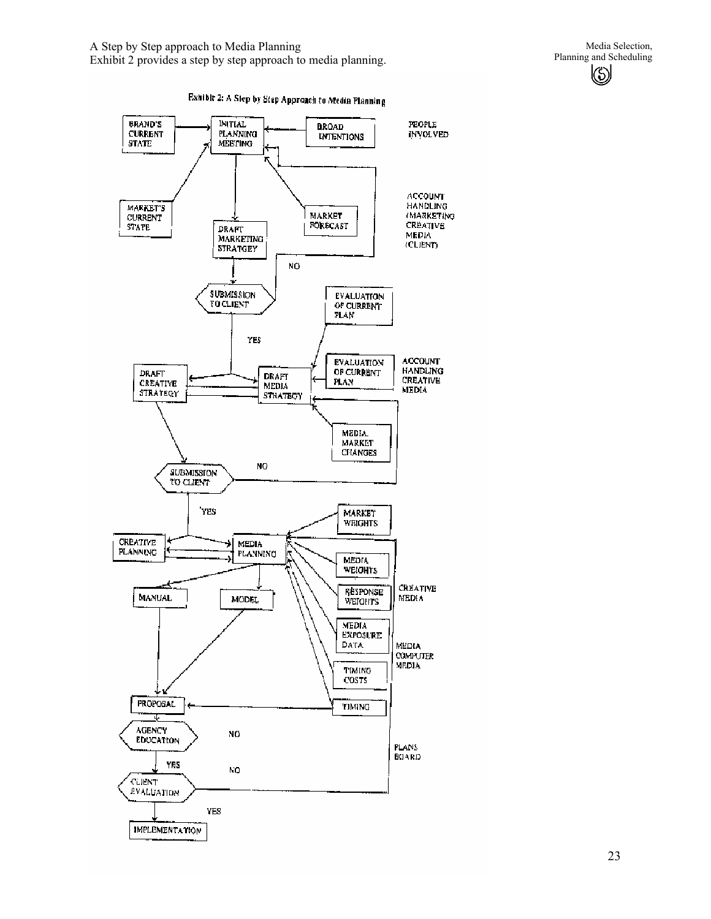Exhibit 2 provides a step by step approach to media planning.



Exhibit 2: A Siep by Step Approach to Media Planning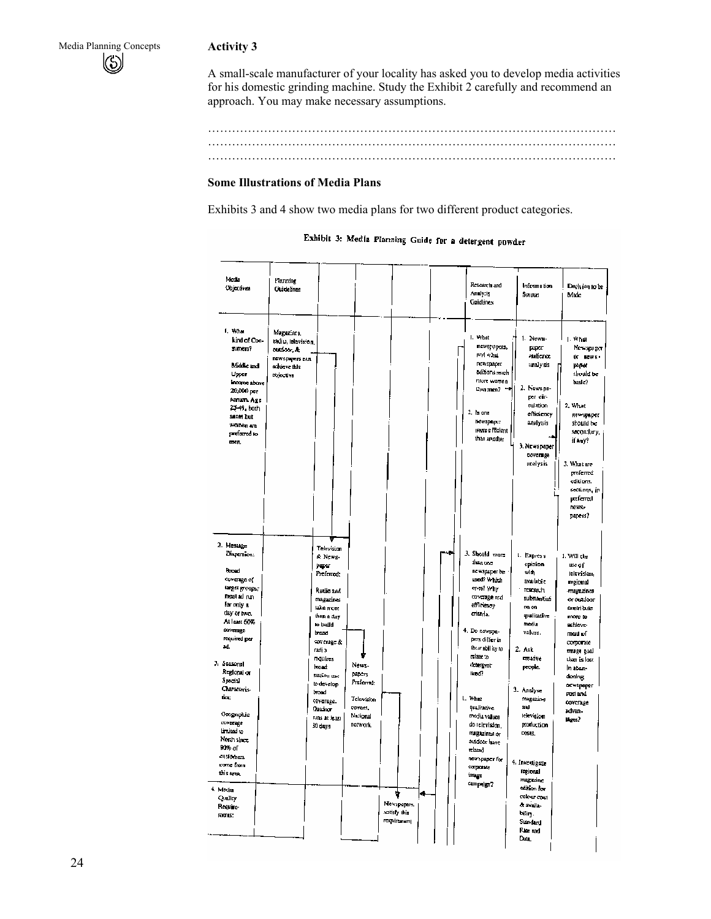$\left(\mathcal{S}\right)$ 

A small-scale manufacturer of your locality has asked you to develop media activities for his domestic grinding machine. Study the Exhibit 2 carefully and recommend an approach. You may make necessary assumptions.



### **Some Illustrations of Media Plans**

Exhibits 3 and 4 show two media plans for two different product categories.

| Modia<br>Objectives                                                                                                                                                                                                                                                                                                                                                                                      | Planning<br><b>Cluide Sines</b>                                                               |                                                                                                                                                                                                                                                                              |                                                                                |                                             |  | Research and<br>Analysis<br>Goidlines                                                                                                                                                                                                                                                                                                                                              | Intermetion<br>Source:                                                                                                                                                                                                                                                                                                                                         | Decision to be<br>Made                                                                                                                                                                                                                                  |
|----------------------------------------------------------------------------------------------------------------------------------------------------------------------------------------------------------------------------------------------------------------------------------------------------------------------------------------------------------------------------------------------------------|-----------------------------------------------------------------------------------------------|------------------------------------------------------------------------------------------------------------------------------------------------------------------------------------------------------------------------------------------------------------------------------|--------------------------------------------------------------------------------|---------------------------------------------|--|------------------------------------------------------------------------------------------------------------------------------------------------------------------------------------------------------------------------------------------------------------------------------------------------------------------------------------------------------------------------------------|----------------------------------------------------------------------------------------------------------------------------------------------------------------------------------------------------------------------------------------------------------------------------------------------------------------------------------------------------------------|---------------------------------------------------------------------------------------------------------------------------------------------------------------------------------------------------------------------------------------------------------|
| I. What<br>kind of Con-<br>sumers?<br>Middle and<br>Upper<br>income above<br>28,000 per<br>Annum. Age<br>23-49, both<br>saxes but<br><b>WOIDER AFE</b><br>preferred to<br>шeņ,                                                                                                                                                                                                                           | Magazines,<br>radio, lelevision,<br>outdoor, A<br>newspapers can<br>achieve this<br>Directive |                                                                                                                                                                                                                                                                              |                                                                                |                                             |  | I. What<br>newspapers,<br>and what<br>newspaper<br>editions reuch<br>noire women.<br>Distances? **<br>2. la one<br>hewspaper<br>inver efficient<br>than another                                                                                                                                                                                                                    | 1. News-<br>paper<br>autience<br>analysis<br>2. Newspa-<br>per cir-<br>culation<br>efficiency<br>anulysis<br>3. Newspaper<br>coverage<br>ucal ysis                                                                                                                                                                                                             | I. What<br>Межарират<br>OF ROWN-<br>poper<br>should be<br>basic?<br>2. What<br>newspaper<br>should be<br>secondary,<br>if any?<br>3. What are<br>preferred<br>editions.<br>sections, in<br>μαίσται<br>news-<br>papers?                                  |
| 2. Message<br>Dispersion:<br>Rroad<br>coverage of<br>target proups;<br>most ad run<br>for maly a<br>day or two.<br>At least 60%<br>ouverage<br>required per<br>M.<br>3. Seasonal<br>Regional or<br>Special<br>Characteris-<br>tics;<br>Geographic<br><b>LEWEDERS</b><br>Limited to<br>North since<br>M% of<br>customers.<br>come from<br>this area.<br>≮ Mrdja<br>Quality<br>Require-<br><b>GIGHTIS!</b> |                                                                                               | Television<br>A News-<br><b>Juner</b><br>Pretencer:<br>Rudio and<br>magazines<br>lake niore<br>than e day<br>to build<br>bread<br>coverage &<br>radio<br>raggires<br>hroad<br><b>Sittling</b> ase<br>to develop<br>broad<br>coverage.<br>Outdoor<br>runs at Jeast<br>30 days | News-<br>papers<br>Preformal:<br>Television<br>covers.<br>National<br>network. | News papers.<br>satisty this<br>roquirement |  | 3. Should more<br>than one<br>newspaper be<br>used? Which<br>enes? Why<br>coverage and<br>efficiency<br>criteria.<br>4. Do nawspa-<br>pers differ in<br>their ability to<br>ce sustan<br>deterrent<br>listo <sup>7</sup><br>l. What<br>qualitative.<br>modia volues<br>do television.<br>rugazinea er<br>autdoor have<br>related<br>nowspaper for<br>опровы.<br>inuur<br>campulga? | 1. Express<br>epinfon<br>with<br>ava labie<br>research<br>substantiuri<br>mon<br>mulitarive<br>merlia<br>values.<br>2. Ask<br><b>ETCROVE</b><br>people.<br>3. Analyse<br>magazine<br>3HJ.<br>Iclevision<br>production<br>DOSAS.<br>4. Investigate<br>regional<br>magazine<br>edition for<br>colour cost<br>or availa-<br>bilin.<br>Standard<br>Rac and<br>Duty | 1. Will the<br>use of<br>televiskas,<br>regional<br>mayazines<br>or outdoor<br>compribute<br>ntore to<br>achieve-<br>meaut of<br>corporate<br>smage goal<br>Uran is lost<br>In abon-<br>doming<br>ocwspaper<br>post and<br>coverage<br>rdvan.<br>Heres? |

| Exhibit 3: Media Planning Guide for a detergent powder |  |  |  |  |
|--------------------------------------------------------|--|--|--|--|
|--------------------------------------------------------|--|--|--|--|

L.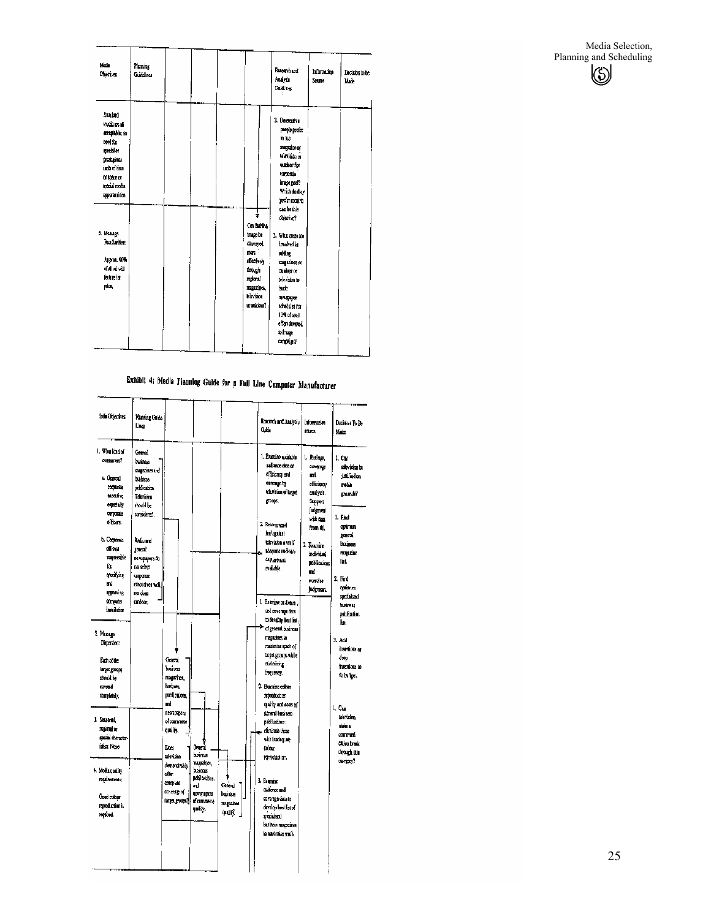| Media Selection.        |
|-------------------------|
| Planning and Scheduling |
| (\$)                    |

| Madia<br>Dijectives                                                                                                                                                                                                                         | Pleming<br>Guidelines |  |                                                                                                                            | Research and<br>Analysis<br>Galding                                                                                                                                                                                                                                                                                                                                                        | Information<br>Source | Decision to be<br>Made |
|---------------------------------------------------------------------------------------------------------------------------------------------------------------------------------------------------------------------------------------------|-----------------------|--|----------------------------------------------------------------------------------------------------------------------------|--------------------------------------------------------------------------------------------------------------------------------------------------------------------------------------------------------------------------------------------------------------------------------------------------------------------------------------------------------------------------------------------|-----------------------|------------------------|
| Standard<br>nation of<br>ecaptable, no<br>need for<br>medal or<br>prestigious<br>units of time.<br>Of lighter on<br>rocial media<br>opportunities<br>5. Meason<br><b>Pecularities:</b><br>Арргол. 90%<br>tie ballaão<br>festore let<br>pis, |                       |  | ÷<br>Con Bashing<br>inuce be<br>conveyed<br>nion.<br>diametr<br>through<br>mposal<br>magazines.<br>television<br>thoods or | 2. Docteative<br>people prefer<br><b>to</b> me<br>magazine or<br>television or<br>ouldoor for<br>corporate<br>muge goal?<br>Which do they<br>prefer most to<br>use for this<br>objective?<br>3. What cours are<br>irvoved bi<br>widing<br>magazines or<br>outdoor or<br>blevision to<br>hade<br><b>TOWSPORT</b><br>schedules för<br>10% of total<br>effort devoted<br>to Image<br>compágn? |                       |                        |

# Exhibit 4; Media Planuing Guide for a Full Line Computer Manufacturer

للمسا

| India Objectives                                                                                                                                                                                        | <b>Pluming Colde</b><br>Live                                                                                                                                                                                 |                                                                            |                                                                                      |                                           | Research and Analysis<br>Gulde                                                                                                                                                                                                             | Information<br><b>MARCH</b>                                                                                                                                                             | Docialon To Be<br>Mate                                                                                                                                    |
|---------------------------------------------------------------------------------------------------------------------------------------------------------------------------------------------------------|--------------------------------------------------------------------------------------------------------------------------------------------------------------------------------------------------------------|----------------------------------------------------------------------------|--------------------------------------------------------------------------------------|-------------------------------------------|--------------------------------------------------------------------------------------------------------------------------------------------------------------------------------------------------------------------------------------------|-----------------------------------------------------------------------------------------------------------------------------------------------------------------------------------------|-----------------------------------------------------------------------------------------------------------------------------------------------------------|
| I. What kind of<br>codiamers?<br>s. General<br><b>Corporate</b><br>tuculw,<br>esportally<br>comorate<br>officers.<br>b. Commun<br>officers<br>remonsible<br>fa.<br>specifying<br>mí<br><b>Πριπονίας</b> | Gerral<br>business<br>magazines and<br>business<br>pablication<br>Televinon<br>should be<br>considere.<br>Radio and<br>general<br>IN WANDER OF<br>not relief.<br><b>CONTAC</b><br>exceptives well.<br>na des |                                                                            |                                                                                      |                                           | 1. Examine available<br>Audience data on<br>efficiency and<br>Origane by<br>television of target<br>ground.<br>2. Recommend<br>for against<br>television aven if<br>adonnate audience<br>dala are not<br>avalable.                         | 1. Ratings,<br>coverage<br>m<br>officianav<br>analysis.<br>Support<br><b>Judgment</b><br>with tun.<br>from tl.<br>2. Examine<br>individual<br>pablications<br>md<br>exercist<br>udemat. | $1.$ Cm<br>teorión le<br>institution.<br>molin<br>munda?<br>1. Find<br>octionum<br>reteral<br>bumen<br>magazine<br>list.<br>$2.$ Find<br><b>ODDENLIFT</b> |
| <b>COCA/JUST</b><br>Institution<br>2. Message<br>Dispersion:<br>Each of the<br><b>Linket proving</b><br>should be<br>covered<br>completely.                                                             | ontdoor.                                                                                                                                                                                                     | General<br>business<br>magazines.<br>bushness<br>cubilcations.<br>m        |                                                                                      |                                           | 1. Extraine sudence.<br>and coverage data<br>to develop best list.<br>of general business<br>magazines to<br>maximize reach of<br>target groups while<br>minimizing<br>frequency.<br>2 Examine colner<br>remoduction<br>multy and costs of |                                                                                                                                                                                         | soccialized<br>business<br>publication.<br>Hat.<br>3. Add<br>Insertions or<br>dron<br><b>Tections</b> to<br>fli bidgel.                                   |
| 1. Sasonel.<br>resignal or<br>succial character-<br>istics: None                                                                                                                                        |                                                                                                                                                                                                              | <b>NGW31806ta</b><br>of commerce<br>omlity.<br>Data<br>clevism             | Generi<br>businesa                                                                   |                                           | soneral business<br>publications:<br>clininate those<br>with inactorums<br>colour<br>remiduation.                                                                                                                                          |                                                                                                                                                                                         | 1. Can<br>tak dalam<br>nteira a<br>communi.<br><b>Citien Image</b><br>through this                                                                        |
| 4. Moda quality<br>regulaements;<br>Oped colour<br>recoduction is<br>rentired.                                                                                                                          |                                                                                                                                                                                                              | demonstrably<br>υllαr<br>complete<br>coverage of<br><b>Lines groups if</b> | magazines.<br>businoos<br>publicadons.<br>пl<br>Revenuess<br>of commerce<br>qualid . | Gener1<br>basineer<br>mugazines<br>quili? | 3. Examine<br>audimor and<br>coverage data to<br>develop heat list of<br>modulism<br>business magazines<br>la maximise mach                                                                                                                |                                                                                                                                                                                         | category?                                                                                                                                                 |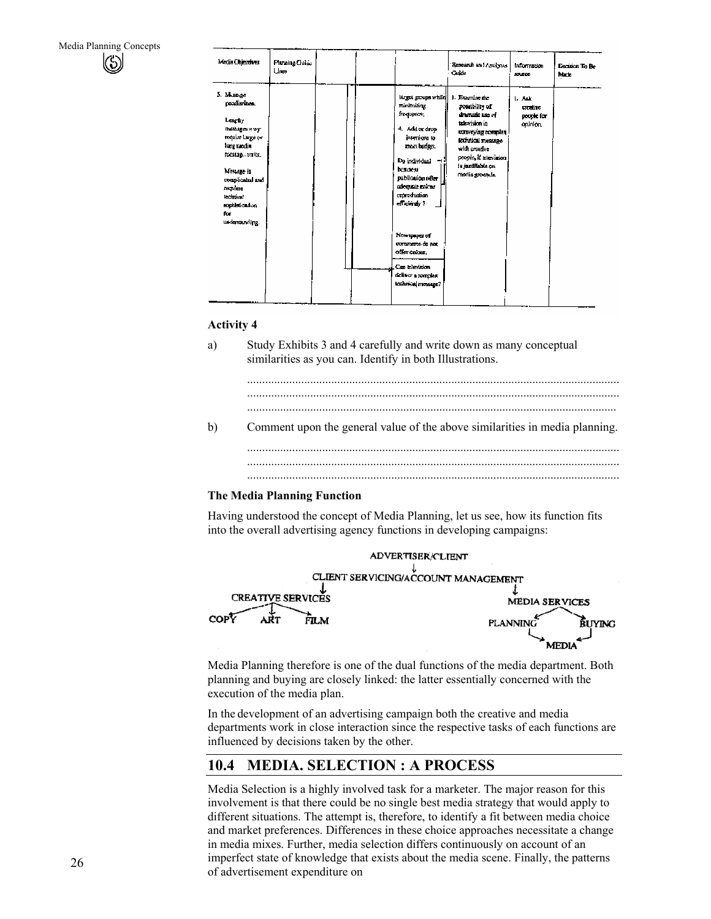| Media Objectives                                                                                                                                                                                              | Phromg Gulo-<br>Uma |                                                                                                                                                                                                                                                                                                                                    | Research and Analysis<br>Carde                                                                                                                                                                    | Information<br>301000                        | Decision To Re-<br>Marie |
|---------------------------------------------------------------------------------------------------------------------------------------------------------------------------------------------------------------|---------------------|------------------------------------------------------------------------------------------------------------------------------------------------------------------------------------------------------------------------------------------------------------------------------------------------------------------------------------|---------------------------------------------------------------------------------------------------------------------------------------------------------------------------------------------------|----------------------------------------------|--------------------------|
| 5. Mange<br>peculiarines.<br>Learny<br>messiges may<br>require large on<br>long raedin<br>reessag, units.<br>Message is<br>complicated and<br>randra.<br>lectronal<br>sophisticador.<br>for<br>understanding. |                     | larget groups while<br>minimizing<br>frequency,<br>4. Add or drop<br>insertions to<br><b>ENGLISHERE</b><br>Do individual<br>- 1<br>busaeu<br>publication offer<br>adequair colors<br>repreduction<br>efficiently?<br>Newspaper of<br>commerce do not<br>otter colour.<br>Can television<br>deliver a complex<br>lecimical message? | Examine the<br>ı.<br>posribility of<br>dramada usa of<br>television in<br>conveying complex<br>technical message<br>with creative<br>people, if television.<br>is jardilabla ça<br>media groanda. | L. Ask<br>creative<br>people for<br>opinion. |                          |

### **Activity 4**

a) Study Exhibits 3 and 4 carefully and write down as many conceptual similarities as you can. Identify in both Illustrations.



### **The Media Planning Function**

Having understood the concept of Media Planning, let us see, how its function fits into the overall advertising agency functions in developing campaigns:



Media Planning therefore is one of the dual functions of the media department. Both planning and buying are closely linked: the latter essentially concerned with the execution of the media plan.

In the development of an advertising campaign both the creative and media departments work in close interaction since the respective tasks of each functions are influenced by decisions taken by the other.

# **10.4 MEDIA. SELECTION : A PROCESS**

Media Selection is a highly involved task for a marketer. The major reason for this involvement is that there could be no single best media strategy that would apply to different situations. The attempt is, therefore, to identify a fit between media choice and market preferences. Differences in these choice approaches necessitate a change in media mixes. Further, media selection differs continuously on account of an imperfect state of knowledge that exists about the media scene. Finally, the patterns of advertisement expenditure on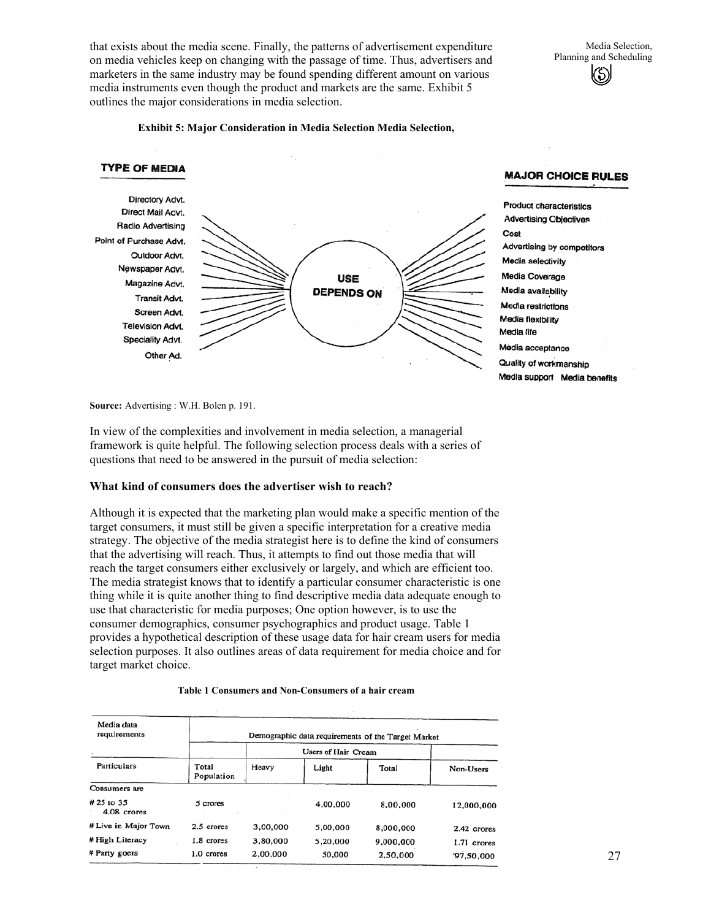that exists about the media scene. Finally, the patterns of advertisement expenditure on media vehicles keep on changing with the passage of time. Thus, advertisers and marketers in the same industry may be found spending different amount on various media instruments even though the product and markets are the same. Exhibit 5 outlines the major considerations in media selection.

### **Exhibit 5: Major Consideration in Media Selection Media Selection,**



**Source:** Advertising : W.H. Bolen p. 191.

In view of the complexities and involvement in media selection, a managerial framework is quite helpful. The following selection process deals with a series of questions that need to be answered in the pursuit of media selection:

### **What kind of consumers does the advertiser wish to reach?**

Although it is expected that the marketing plan would make a specific mention of the target consumers, it must still be given a specific interpretation for a creative media strategy. The objective of the media strategist here is to define the kind of consumers that the advertising will reach. Thus, it attempts to find out those media that will reach the target consumers either exclusively or largely, and which are efficient too. The media strategist knows that to identify a particular consumer characteristic is one thing while it is quite another thing to find descriptive media data adequate enough to use that characteristic for media purposes; One option however, is to use the consumer demographics, consumer psychographics and product usage. Table 1 provides a hypothetical description of these usage data for hair cream users for media selection purposes. It also outlines areas of data requirement for media choice and for target market choice.

| Media data<br>requirements |                     |          |                     | Demographic data requirements of the Target Market |             |
|----------------------------|---------------------|----------|---------------------|----------------------------------------------------|-------------|
|                            |                     |          | Users of Hair Cream |                                                    |             |
| Particulars                | Total<br>Population | Heavy    | Light               | Total                                              | Non-Users   |
| Consumers are              |                     |          |                     |                                                    |             |
| # 25 to 35<br>4.08 crores  | 5 crores            |          | 4,00,000            | 8,00,000                                           | 12,000,000  |
| # Live in Major Town       | 2.5 crores          | 3,00,000 | 5,00,000            | 8,000,000                                          | 2.42 crores |
| # High Literacy            | 1.8 crores          | 3,80,000 | 5,20,000            | 9,000,000                                          | 1.71 crores |
| # Party goers              | 1.0 crores          | 2,00,000 | 50,000              | 2,50,000                                           | 97,50,000   |

#### **Table 1 Consumers and Non-Consumers of a hair cream**

(\$)

Media Selection, Planning and Scheduling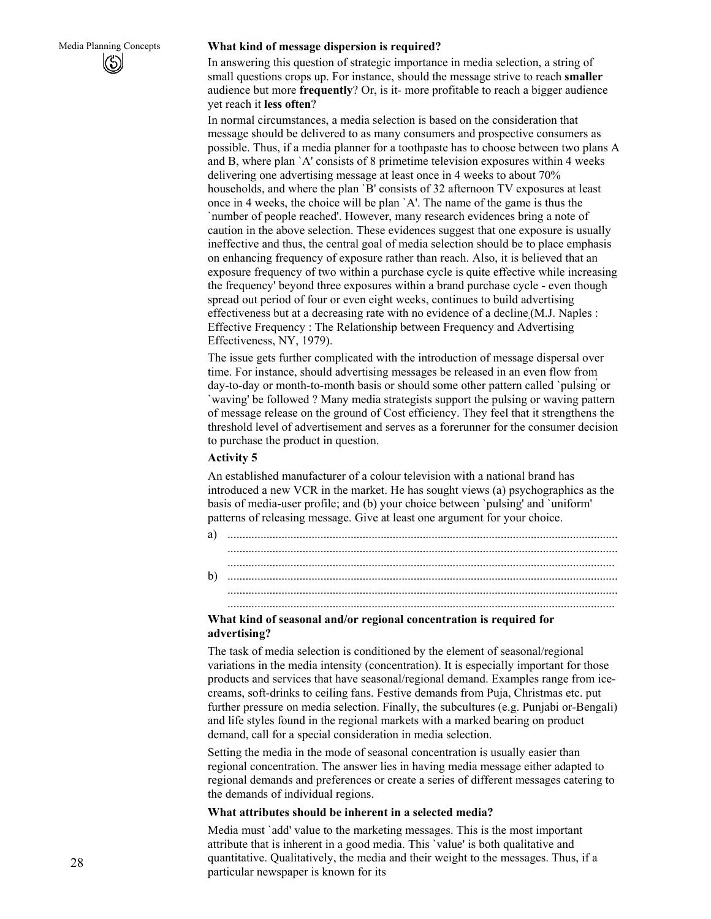### Media Planning Concepts **What kind of message dispersion is required?**

In answering this question of strategic importance in media selection, a string of small questions crops up. For instance, should the message strive to reach **smaller**  audience but more **frequently**? Or, is it- more profitable to reach a bigger audience yet reach it **less often**?

In normal circumstances, a media selection is based on the consideration that message should be delivered to as many consumers and prospective consumers as possible. Thus, if a media planner for a toothpaste has to choose between two plans A and B, where plan `A' consists of 8 primetime television exposures within 4 weeks delivering one advertising message at least once in 4 weeks to about 70% households, and where the plan `B' consists of 32 afternoon TV exposures at least once in 4 weeks, the choice will be plan `A'. The name of the game is thus the `number of people reached'. However, many research evidences bring a note of caution in the above selection. These evidences suggest that one exposure is usually ineffective and thus, the central goal of media selection should be to place emphasis on enhancing frequency of exposure rather than reach. Also, it is believed that an exposure frequency of two within a purchase cycle is quite effective while increasing the frequency' beyond three exposures within a brand purchase cycle - even though spread out period of four or even eight weeks, continues to build advertising effectiveness but at a decreasing rate with no evidence of a decline (M.J. Naples : Effective Frequency : The Relationship between Frequency and Advertising Effectiveness, NY, 1979).

The issue gets further complicated with the introduction of message dispersal over time. For instance, should advertising messages be released in an even flow from day-to-day or month-to-month basis or should some other pattern called `pulsing' or `waving' be followed ? Many media strategists support the pulsing or waving pattern of message release on the ground of Cost efficiency. They feel that it strengthens the threshold level of advertisement and serves as a forerunner for the consumer decision to purchase the product in question.

# **Activity 5**

An established manufacturer of a colour television with a national brand has introduced a new VCR in the market. He has sought views (a) psychographics as the basis of media-user profile; and (b) your choice between `pulsing' and `uniform' patterns of releasing message. Give at least one argument for your choice.

a) .................................................................................................................................. .................................................................................................................................. ................................................................................................................................. b) .................................................................................................................................. .................................................................................................................................. .................................................................................................................................

### **What kind of seasonal and/or regional concentration is required for advertising?**

The task of media selection is conditioned by the element of seasonal/regional variations in the media intensity (concentration). It is especially important for those products and services that have seasonal/regional demand. Examples range from icecreams, soft-drinks to ceiling fans. Festive demands from Puja, Christmas etc. put further pressure on media selection. Finally, the subcultures (e.g. Punjabi or-Bengali) and life styles found in the regional markets with a marked bearing on product demand, call for a special consideration in media selection.

Setting the media in the mode of seasonal concentration is usually easier than regional concentration. The answer lies in having media message either adapted to regional demands and preferences or create a series of different messages catering to the demands of individual regions.

### **What attributes should be inherent in a selected media?**

Media must `add' value to the marketing messages. This is the most important attribute that is inherent in a good media. This `value' is both qualitative and quantitative. Qualitatively, the media and their weight to the messages. Thus, if a particular newspaper is known for its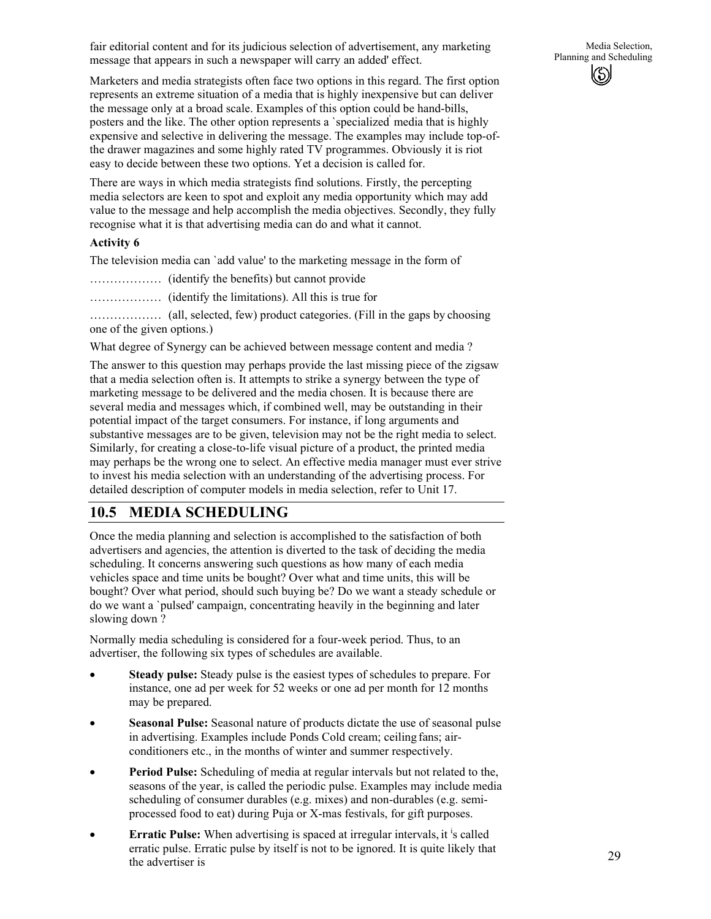fair editorial content and for its judicious selection of advertisement, any marketing message that appears in such a newspaper will carry an added' effect.

Marketers and media strategists often face two options in this regard. The first option represents an extreme situation of a media that is highly inexpensive but can deliver the message only at a broad scale. Examples of this option could be hand-bills, posters and the like. The other option represents a `specialized' media that is highly expensive and selective in delivering the message. The examples may include top-ofthe drawer magazines and some highly rated TV programmes. Obviously it is riot easy to decide between these two options. Yet a decision is called for.

There are ways in which media strategists find solutions. Firstly, the percepting media selectors are keen to spot and exploit any media opportunity which may add value to the message and help accomplish the media objectives. Secondly, they fully recognise what it is that advertising media can do and what it cannot.

### **Activity 6**

The television media can `add value' to the marketing message in the form of

| one of the given options.) |  |
|----------------------------|--|

What degree of Synergy can be achieved between message content and media ?

The answer to this question may perhaps provide the last missing piece of the zigsaw that a media selection often is. It attempts to strike a synergy between the type of marketing message to be delivered and the media chosen. It is because there are several media and messages which, if combined well, may be outstanding in their potential impact of the target consumers. For instance, if long arguments and substantive messages are to be given, television may not be the right media to select. Similarly, for creating a close-to-life visual picture of a product, the printed media may perhaps be the wrong one to select. An effective media manager must ever strive to invest his media selection with an understanding of the advertising process. For detailed description of computer models in media selection, refer to Unit 17.

# **10.5 MEDIA SCHEDULING**

Once the media planning and selection is accomplished to the satisfaction of both advertisers and agencies, the attention is diverted to the task of deciding the media scheduling. It concerns answering such questions as how many of each media vehicles space and time units be bought? Over what and time units, this will be bought? Over what period, should such buying be? Do we want a steady schedule or do we want a `pulsed' campaign, concentrating heavily in the beginning and later slowing down ?

Normally media scheduling is considered for a four-week period. Thus, to an advertiser, the following six types of schedules are available.

- **Steady pulse:** Steady pulse is the easiest types of schedules to prepare. For instance, one ad per week for 52 weeks or one ad per month for 12 months may be prepared.
- **Seasonal Pulse:** Seasonal nature of products dictate the use of seasonal pulse in advertising. Examples include Ponds Cold cream; ceiling fans; airconditioners etc., in the months of winter and summer respectively.
- **Period Pulse:** Scheduling of media at regular intervals but not related to the, seasons of the year, is called the periodic pulse. Examples may include media scheduling of consumer durables (e.g. mixes) and non-durables (e.g. semiprocessed food to eat) during Puja or X-mas festivals, for gift purposes.
- **Erratic Pulse:** When advertising is spaced at irregular intervals, it <sup>i</sup>s called erratic pulse. Erratic pulse by itself is not to be ignored. It is quite likely that the advertiser is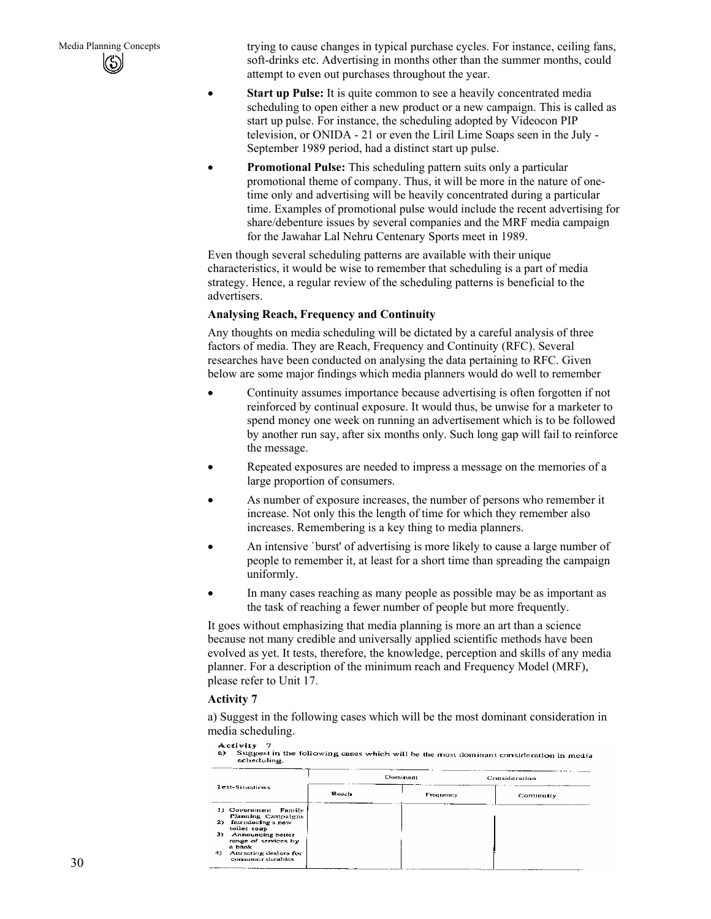Media Planning Concepts trying to cause changes in typical purchase cycles. For instance, ceiling fans, soft-drinks etc. Advertising in months other than the summer months, could attempt to even out purchases throughout the year.

- **Start up Pulse:** It is quite common to see a heavily concentrated media scheduling to open either a new product or a new campaign. This is called as start up pulse. For instance, the scheduling adopted by Videocon PIP television, or ONIDA - 21 or even the Liril Lime Soaps seen in the July - September 1989 period, had a distinct start up pulse.
- **Promotional Pulse:** This scheduling pattern suits only a particular promotional theme of company. Thus, it will be more in the nature of onetime only and advertising will be heavily concentrated during a particular time. Examples of promotional pulse would include the recent advertising for share/debenture issues by several companies and the MRF media campaign for the Jawahar Lal Nehru Centenary Sports meet in 1989.

Even though several scheduling patterns are available with their unique characteristics, it would be wise to remember that scheduling is a part of media strategy. Hence, a regular review of the scheduling patterns is beneficial to the advertisers.

### **Analysing Reach, Frequency and Continuity**

Any thoughts on media scheduling will be dictated by a careful analysis of three factors of media. They are Reach, Frequency and Continuity (RFC). Several researches have been conducted on analysing the data pertaining to RFC. Given below are some major findings which media planners would do well to remember

- Continuity assumes importance because advertising is often forgotten if not reinforced by continual exposure. It would thus, be unwise for a marketer to spend money one week on running an advertisement which is to be followed by another run say, after six months only. Such long gap will fail to reinforce the message.
- Repeated exposures are needed to impress a message on the memories of a large proportion of consumers.
- As number of exposure increases, the number of persons who remember it increase. Not only this the length of time for which they remember also increases. Remembering is a key thing to media planners.
- An intensive `burst' of advertising is more likely to cause a large number of people to remember it, at least for a short time than spreading the campaign uniformly.
- In many cases reaching as many people as possible may be as important as the task of reaching a fewer number of people but more frequently.

It goes without emphasizing that media planning is more an art than a science because not many credible and universally applied scientific methods have been evolved as yet. It tests, therefore, the knowledge, perception and skills of any media planner. For a description of the minimum reach and Frequency Model (MRF), please refer to Unit 17.

### **Activity 7**

a) Suggest in the following cases which will be the most dominant consideration in media scheduling.

Activity 7 a) **Dominant** Consideration **Test-Situations** Reach **Frequency** Continuity 1) Government Family<br>Planning Campaigns<br>2) Introducing a new transmitted<br>follows and comparing better<br>range of services by<br>a bank  $\overline{\mathbf{a}}$ a came<br>Attracting dealers for<br>consumer durables  $41$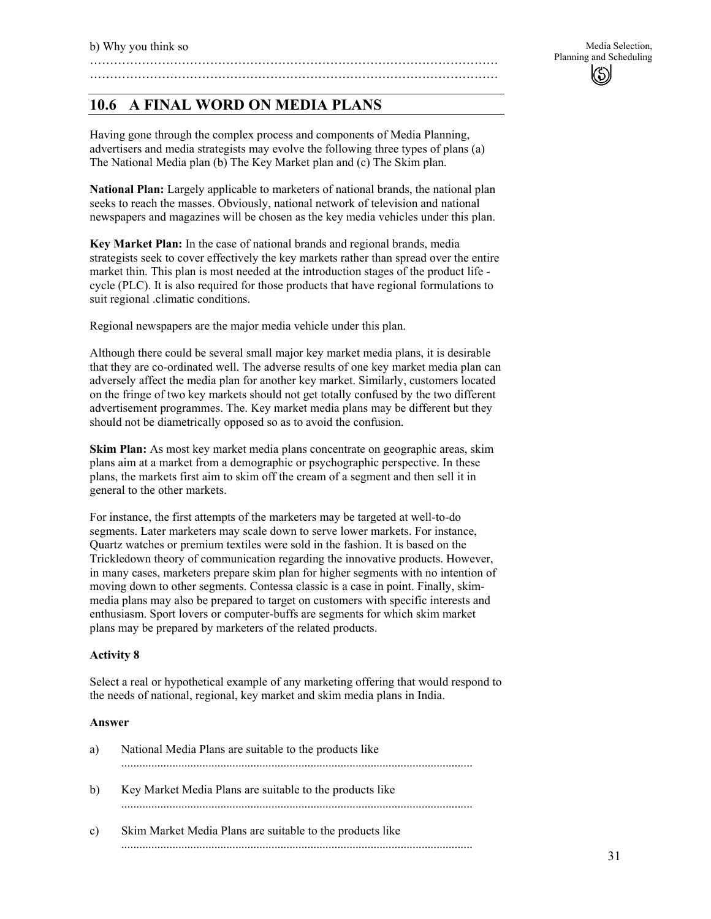Media Selection, Planning and Scheduling

# **10.6 A FINAL WORD ON MEDIA PLANS**

Having gone through the complex process and components of Media Planning, advertisers and media strategists may evolve the following three types of plans (a) The National Media plan (b) The Key Market plan and (c) The Skim plan.

………………………………………………………………………………………… …………………………………………………………………………………………

**National Plan:** Largely applicable to marketers of national brands, the national plan seeks to reach the masses. Obviously, national network of television and national newspapers and magazines will be chosen as the key media vehicles under this plan.

**Key Market Plan:** In the case of national brands and regional brands, media strategists seek to cover effectively the key markets rather than spread over the entire market thin. This plan is most needed at the introduction stages of the product life cycle (PLC). It is also required for those products that have regional formulations to suit regional .climatic conditions.

Regional newspapers are the major media vehicle under this plan.

Although there could be several small major key market media plans, it is desirable that they are co-ordinated well. The adverse results of one key market media plan can adversely affect the media plan for another key market. Similarly, customers located on the fringe of two key markets should not get totally confused by the two different advertisement programmes. The. Key market media plans may be different but they should not be diametrically opposed so as to avoid the confusion.

**Skim Plan:** As most key market media plans concentrate on geographic areas, skim plans aim at a market from a demographic or psychographic perspective. In these plans, the markets first aim to skim off the cream of a segment and then sell it in general to the other markets.

For instance, the first attempts of the marketers may be targeted at well-to-do segments. Later marketers may scale down to serve lower markets. For instance, Quartz watches or premium textiles were sold in the fashion. It is based on the Trickledown theory of communication regarding the innovative products. However, in many cases, marketers prepare skim plan for higher segments with no intention of moving down to other segments. Contessa classic is a case in point. Finally, skimmedia plans may also be prepared to target on customers with specific interests and enthusiasm. Sport lovers or computer-buffs are segments for which skim market plans may be prepared by marketers of the related products.

### **Activity 8**

Select a real or hypothetical example of any marketing offering that would respond to the needs of national, regional, key market and skim media plans in India.

### **Answer**

| a) | National Media Plans are suitable to the products like    |
|----|-----------------------------------------------------------|
| b) | Key Market Media Plans are suitable to the products like  |
| c) | Skim Market Media Plans are suitable to the products like |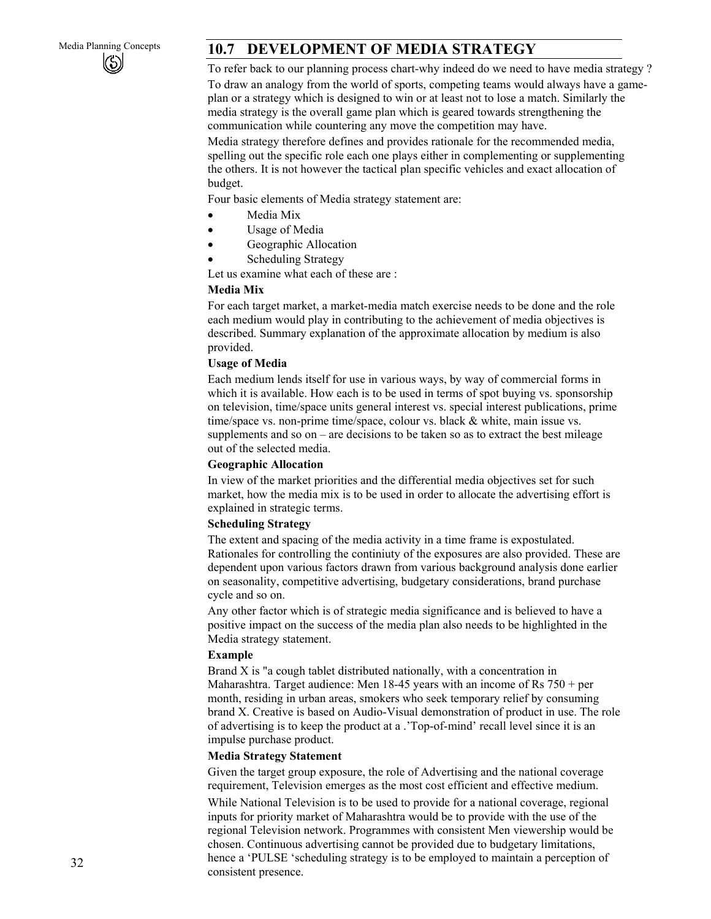# Media Planning Concepts **10.7 DEVELOPMENT OF MEDIA STRATEGY**

To refer back to our planning process chart-why indeed do we need to have media strategy ?

To draw an analogy from the world of sports, competing teams would always have a gameplan or a strategy which is designed to win or at least not to lose a match. Similarly the media strategy is the overall game plan which is geared towards strengthening the communication while countering any move the competition may have.

Media strategy therefore defines and provides rationale for the recommended media, spelling out the specific role each one plays either in complementing or supplementing the others. It is not however the tactical plan specific vehicles and exact allocation of budget.

Four basic elements of Media strategy statement are:

- Media Mix
- Usage of Media
- Geographic Allocation
- Scheduling Strategy

Let us examine what each of these are :

### **Media Mix**

For each target market, a market-media match exercise needs to be done and the role each medium would play in contributing to the achievement of media objectives is described. Summary explanation of the approximate allocation by medium is also provided.

### **Usage of Media**

Each medium lends itself for use in various ways, by way of commercial forms in which it is available. How each is to be used in terms of spot buying vs. sponsorship on television, time/space units general interest vs. special interest publications, prime time/space vs. non-prime time/space, colour vs. black & white, main issue vs. supplements and so on  $-$  are decisions to be taken so as to extract the best mileage out of the selected media.

### **Geographic Allocation**

In view of the market priorities and the differential media objectives set for such market, how the media mix is to be used in order to allocate the advertising effort is explained in strategic terms.

### **Scheduling Strategy**

The extent and spacing of the media activity in a time frame is expostulated. Rationales for controlling the continiuty of the exposures are also provided. These are dependent upon various factors drawn from various background analysis done earlier on seasonality, competitive advertising, budgetary considerations, brand purchase cycle and so on.

Any other factor which is of strategic media significance and is believed to have a positive impact on the success of the media plan also needs to be highlighted in the Media strategy statement.

### **Example**

Brand X is "a cough tablet distributed nationally, with a concentration in Maharashtra. Target audience: Men 18-45 years with an income of Rs 750 + per month, residing in urban areas, smokers who seek temporary relief by consuming brand X. Creative is based on Audio-Visual demonstration of product in use. The role of advertising is to keep the product at a .'Top-of-mind' recall level since it is an impulse purchase product.

### **Media Strategy Statement**

Given the target group exposure, the role of Advertising and the national coverage requirement, Television emerges as the most cost efficient and effective medium.

While National Television is to be used to provide for a national coverage, regional inputs for priority market of Maharashtra would be to provide with the use of the regional Television network. Programmes with consistent Men viewership would be chosen. Continuous advertising cannot be provided due to budgetary limitations, hence a 'PULSE 'scheduling strategy is to be employed to maintain a perception of consistent presence.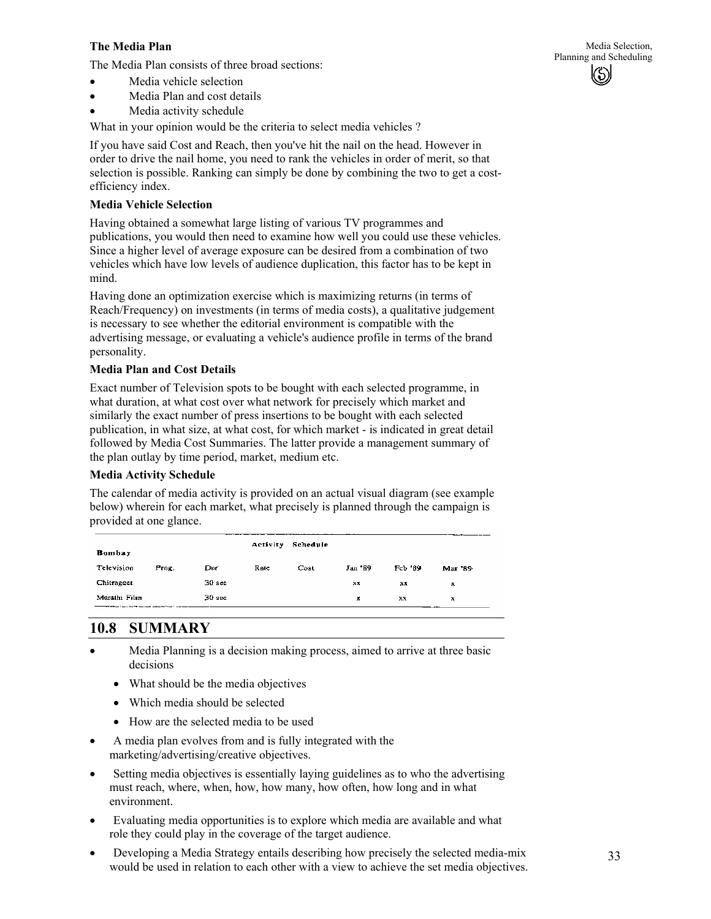# **The Media Plan**

The Media Plan consists of three broad sections:

- Media vehicle selection
- Media Plan and cost details
- Media activity schedule

What in your opinion would be the criteria to select media vehicles ?

If you have said Cost and Reach, then you've hit the nail on the head. However in order to drive the nail home, you need to rank the vehicles in order of merit, so that selection is possible. Ranking can simply be done by combining the two to get a costefficiency index.

### **Media Vehicle Selection**

Having obtained a somewhat large listing of various TV programmes and publications, you would then need to examine how well you could use these vehicles. Since a higher level of average exposure can be desired from a combination of two vehicles which have low levels of audience duplication, this factor has to be kept in mind.

Having done an optimization exercise which is maximizing returns (in terms of Reach/Frequency) on investments (in terms of media costs), a qualitative judgement is necessary to see whether the editorial environment is compatible with the advertising message, or evaluating a vehicle's audience profile in terms of the brand personality.

### **Media Plan and Cost Details**

Exact number of Television spots to be bought with each selected programme, in what duration, at what cost over what network for precisely which market and similarly the exact number of press insertions to be bought with each selected publication, in what size, at what cost, for which market - is indicated in great detail followed by Media Cost Summaries. The latter provide a management summary of the plan outlay by time period, market, medium etc.

# **Media Activity Schedule**

The calendar of media activity is provided on an actual visual diagram (see example below) wherein for each market, what precisely is planned through the campaign is provided at one glance.

|              |       |                   | Activity | Schedule |         |         |         |
|--------------|-------|-------------------|----------|----------|---------|---------|---------|
| Bombay       |       |                   |          |          |         |         |         |
| Television   | Prog. | Dur'              | Rate     | Cost     | Jan '89 | Fcb '89 | Mar '89 |
| Chitrageer   |       | $30$ sec          |          |          | XX.     | XX      | х       |
| Marathi Film |       | 30 <sub>sec</sub> |          |          | x       | XX.     | ×       |

# **10.8 SUMMARY**

- Media Planning is a decision making process, aimed to arrive at three basic decisions
	- What should be the media objectives
	- Which media should be selected
	- How are the selected media to be used
- A media plan evolves from and is fully integrated with the marketing/advertising/creative objectives.
- Setting media objectives is essentially laying guidelines as to who the advertising must reach, where, when, how, how many, how often, how long and in what environment.
- Evaluating media opportunities is to explore which media are available and what role they could play in the coverage of the target audience.
- Developing a Media Strategy entails describing how precisely the selected media-mix would be used in relation to each other with a view to achieve the set media objectives.

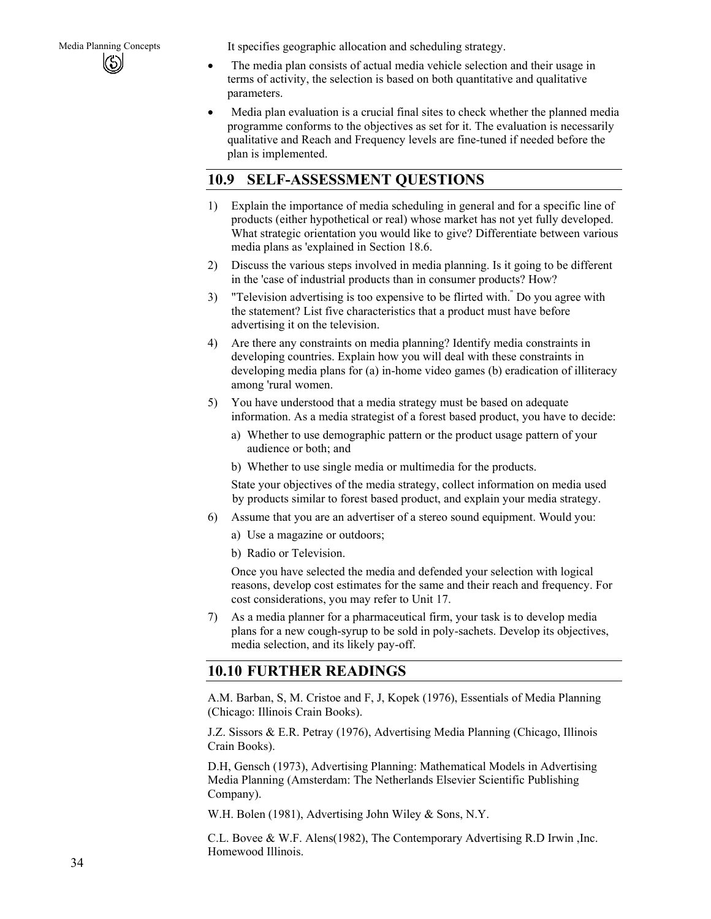Media Planning Concepts **It specifies geographic allocation and scheduling strategy**.

- The media plan consists of actual media vehicle selection and their usage in terms of activity, the selection is based on both quantitative and qualitative parameters.
- Media plan evaluation is a crucial final sites to check whether the planned media programme conforms to the objectives as set for it. The evaluation is necessarily qualitative and Reach and Frequency levels are fine-tuned if needed before the plan is implemented.

# **10.9 SELF-ASSESSMENT QUESTIONS**

- 1) Explain the importance of media scheduling in general and for a specific line of products (either hypothetical or real) whose market has not yet fully developed. What strategic orientation you would like to give? Differentiate between various media plans as 'explained in Section 18.6.
- 2) Discuss the various steps involved in media planning. Is it going to be different in the 'case of industrial products than in consumer products? How?
- 3) "Television advertising is too expensive to be flirted with." Do you agree with the statement? List five characteristics that a product must have before advertising it on the television.
- 4) Are there any constraints on media planning? Identify media constraints in developing countries. Explain how you will deal with these constraints in developing media plans for (a) in-home video games (b) eradication of illiteracy among 'rural women.
- 5) You have understood that a media strategy must be based on adequate information. As a media strategist of a forest based product, you have to decide:
	- a) Whether to use demographic pattern or the product usage pattern of your audience or both; and
	- b) Whether to use single media or multimedia for the products.

State your objectives of the media strategy, collect information on media used by products similar to forest based product, and explain your media strategy.

- 6) Assume that you are an advertiser of a stereo sound equipment. Would you:
	- a) Use a magazine or outdoors;
	- b) Radio or Television.

Once you have selected the media and defended your selection with logical reasons, develop cost estimates for the same and their reach and frequency. For cost considerations, you may refer to Unit 17.

7) As a media planner for a pharmaceutical firm, your task is to develop media plans for a new cough-syrup to be sold in poly-sachets. Develop its objectives, media selection, and its likely pay-off.

# **10.10 FURTHER READINGS**

A.M. Barban, S, M. Cristoe and F, J, Kopek (1976), Essentials of Media Planning (Chicago: Illinois Crain Books).

J.Z. Sissors & E.R. Petray (1976), Advertising Media Planning (Chicago, Illinois Crain Books).

D.H, Gensch (1973), Advertising Planning: Mathematical Models in Advertising Media Planning (Amsterdam: The Netherlands Elsevier Scientific Publishing Company).

W.H. Bolen (1981), Advertising John Wiley & Sons, N.Y.

C.L. Bovee & W.F. Alens(1982), The Contemporary Advertising R.D Irwin ,Inc. Homewood Illinois.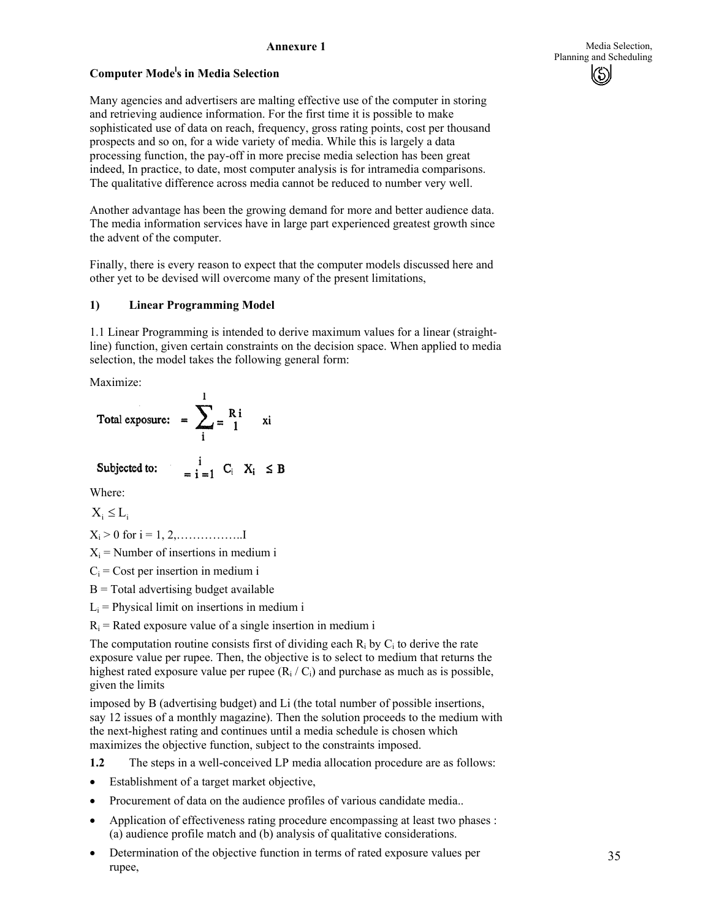# **Computer Model s in Media Selection**

Many agencies and advertisers are malting effective use of the computer in storing and retrieving audience information. For the first time it is possible to make sophisticated use of data on reach, frequency, gross rating points, cost per thousand prospects and so on, for a wide variety of media. While this is largely a data processing function, the pay-off in more precise media selection has been great indeed, In practice, to date, most computer analysis is for intramedia comparisons. The qualitative difference across media cannot be reduced to number very well.

Another advantage has been the growing demand for more and better audience data. The media information services have in large part experienced greatest growth since the advent of the computer.

Finally, there is every reason to expect that the computer models discussed here and other yet to be devised will overcome many of the present limitations,

### **1) Linear Programming Model**

1.1 Linear Programming is intended to derive maximum values for a linear (straightline) function, given certain constraints on the decision space. When applied to media selection, the model takes the following general form:

Maximize:

Total exposure: 
$$
=\sum_{i}^{1} = \frac{R i}{1}
$$
 xi

Subjected to:  $\frac{i}{i} = 1$  C<sub>i</sub> X<sub>i</sub>  $\leq B$ 

Where:

 $X_i \leq L_i$ 

 $X_i > 0$  for  $i = 1, 2, \ldots, \ldots, I$ 

 $X_i$  = Number of insertions in medium i

 $C_i$  = Cost per insertion in medium i

- $B = Total$  advertising budget available
- $L_i$  = Physical limit on insertions in medium i

 $R_i$  = Rated exposure value of a single insertion in medium i

The computation routine consists first of dividing each  $R_i$  by  $C_i$  to derive the rate exposure value per rupee. Then, the objective is to select to medium that returns the highest rated exposure value per rupee  $(R_i / C_i)$  and purchase as much as is possible, given the limits

imposed by B (advertising budget) and Li (the total number of possible insertions, say 12 issues of a monthly magazine). Then the solution proceeds to the medium with the next-highest rating and continues until a media schedule is chosen which maximizes the objective function, subject to the constraints imposed.

- **1.2** The steps in a well-conceived LP media allocation procedure are as follows:
- Establishment of a target market objective,
- Procurement of data on the audience profiles of various candidate media...
- Application of effectiveness rating procedure encompassing at least two phases : (a) audience profile match and (b) analysis of qualitative considerations.
- Determination of the objective function in terms of rated exposure values per rupee,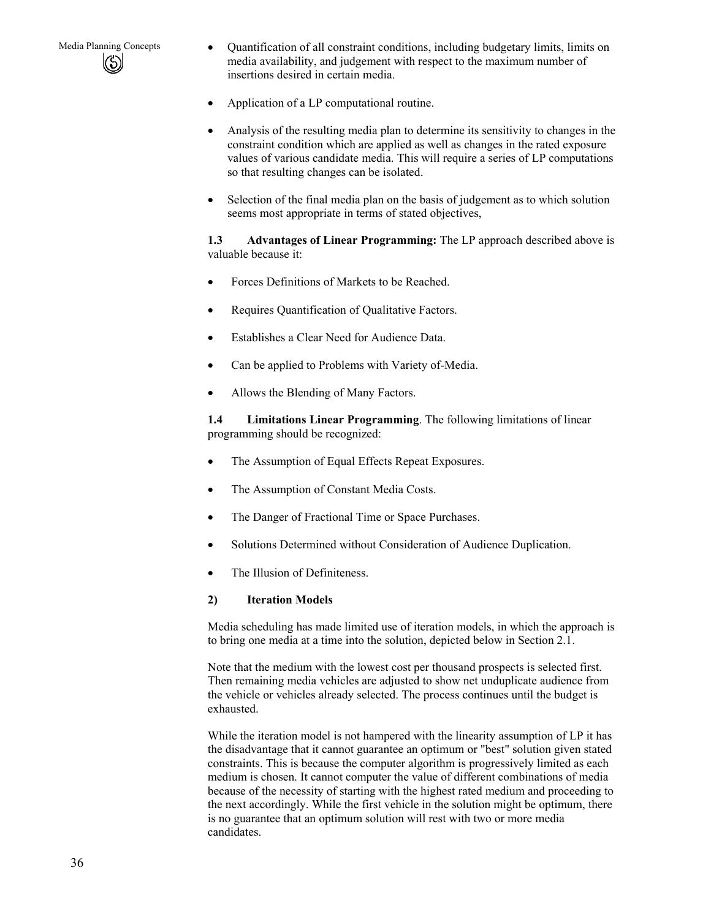- Media Planning Concepts Quantification of all constraint conditions, including budgetary limits, limits on media availability, and judgement with respect to the maximum number of insertions desired in certain media.
	- Application of a LP computational routine.
	- Analysis of the resulting media plan to determine its sensitivity to changes in the constraint condition which are applied as well as changes in the rated exposure values of various candidate media. This will require a series of LP computations so that resulting changes can be isolated.
	- Selection of the final media plan on the basis of judgement as to which solution seems most appropriate in terms of stated objectives,

**1.3 Advantages of Linear Programming:** The LP approach described above is valuable because it:

- Forces Definitions of Markets to be Reached.
- Requires Quantification of Qualitative Factors.
- Establishes a Clear Need for Audience Data.
- Can be applied to Problems with Variety of-Media.
- Allows the Blending of Many Factors.

**1.4 Limitations Linear Programming**. The following limitations of linear programming should be recognized:

- The Assumption of Equal Effects Repeat Exposures.
- The Assumption of Constant Media Costs.
- The Danger of Fractional Time or Space Purchases.
- Solutions Determined without Consideration of Audience Duplication.
- The Illusion of Definiteness.

### **2) Iteration Models**

Media scheduling has made limited use of iteration models, in which the approach is to bring one media at a time into the solution, depicted below in Section 2.1.

Note that the medium with the lowest cost per thousand prospects is selected first. Then remaining media vehicles are adjusted to show net unduplicate audience from the vehicle or vehicles already selected. The process continues until the budget is exhausted.

While the iteration model is not hampered with the linearity assumption of LP it has the disadvantage that it cannot guarantee an optimum or "best" solution given stated constraints. This is because the computer algorithm is progressively limited as each medium is chosen. It cannot computer the value of different combinations of media because of the necessity of starting with the highest rated medium and proceeding to the next accordingly. While the first vehicle in the solution might be optimum, there is no guarantee that an optimum solution will rest with two or more media candidates.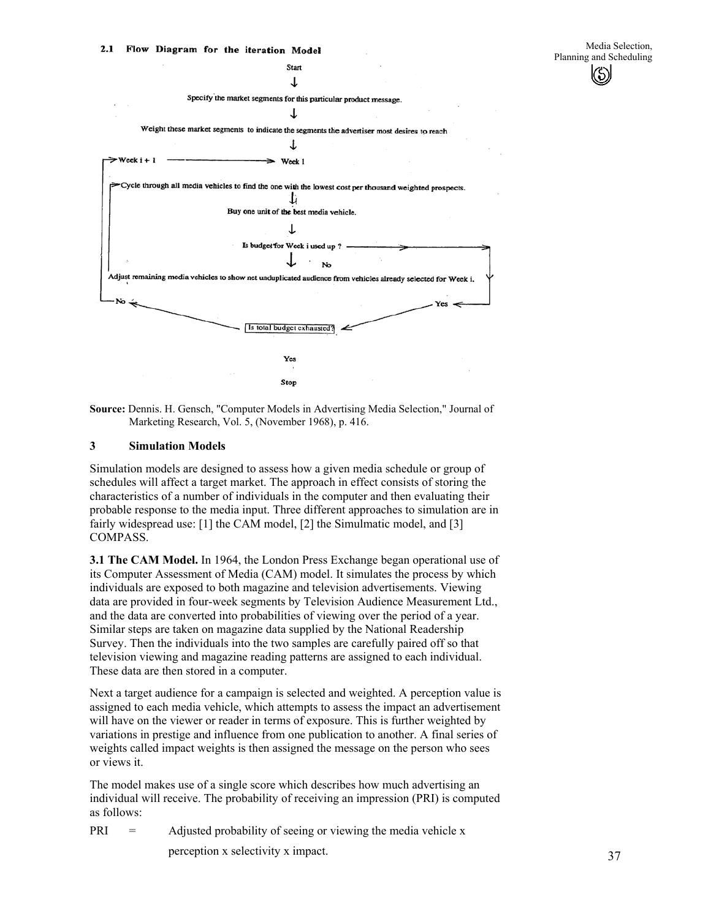

**Source:** Dennis. H. Gensch, "Computer Models in Advertising Media Selection," Journal of Marketing Research, Vol. 5, (November 1968), p. 416.

#### **3 Simulation Models**

Simulation models are designed to assess how a given media schedule or group of schedules will affect a target market. The approach in effect consists of storing the characteristics of a number of individuals in the computer and then evaluating their probable response to the media input. Three different approaches to simulation are in fairly widespread use: [1] the CAM model, [2] the Simulmatic model, and [3] COMPASS.

**3.1 The CAM Model.** In 1964, the London Press Exchange began operational use of its Computer Assessment of Media (CAM) model. It simulates the process by which individuals are exposed to both magazine and television advertisements. Viewing data are provided in four-week segments by Television Audience Measurement Ltd., and the data are converted into probabilities of viewing over the period of a year. Similar steps are taken on magazine data supplied by the National Readership Survey. Then the individuals into the two samples are carefully paired off so that television viewing and magazine reading patterns are assigned to each individual. These data are then stored in a computer.

Next a target audience for a campaign is selected and weighted. A perception value is assigned to each media vehicle, which attempts to assess the impact an advertisement will have on the viewer or reader in terms of exposure. This is further weighted by variations in prestige and influence from one publication to another. A final series of weights called impact weights is then assigned the message on the person who sees or views it.

The model makes use of a single score which describes how much advertising an individual will receive. The probability of receiving an impression (PRI) is computed as follows:

PRI = Adjusted probability of seeing or viewing the media vehicle x

perception x selectivity x impact.

Media Selection, Planning and Scheduling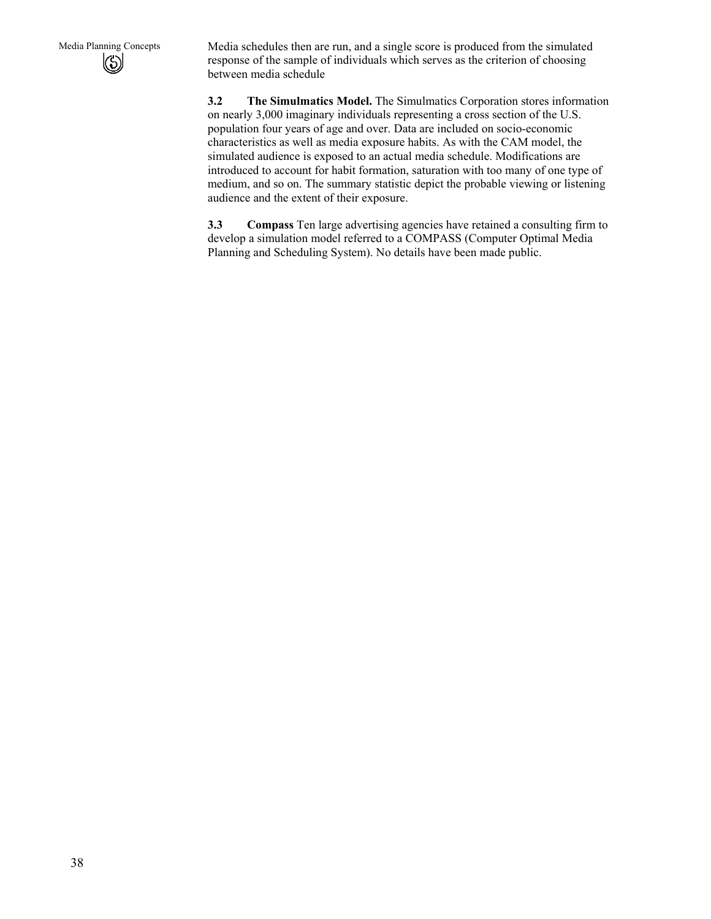Media Planning Concepts Media schedules then are run, and a single score is produced from the simulated response of the sample of individuals which serves as the criterion of choosing between media schedule

> **3.2 The Simulmatics Model.** The Simulmatics Corporation stores information on nearly 3,000 imaginary individuals representing a cross section of the U.S. population four years of age and over. Data are included on socio-economic characteristics as well as media exposure habits. As with the CAM model, the simulated audience is exposed to an actual media schedule. Modifications are introduced to account for habit formation, saturation with too many of one type of medium, and so on. The summary statistic depict the probable viewing or listening audience and the extent of their exposure.

> **3.3 Compass** Ten large advertising agencies have retained a consulting firm to develop a simulation model referred to a COMPASS (Computer Optimal Media Planning and Scheduling System). No details have been made public.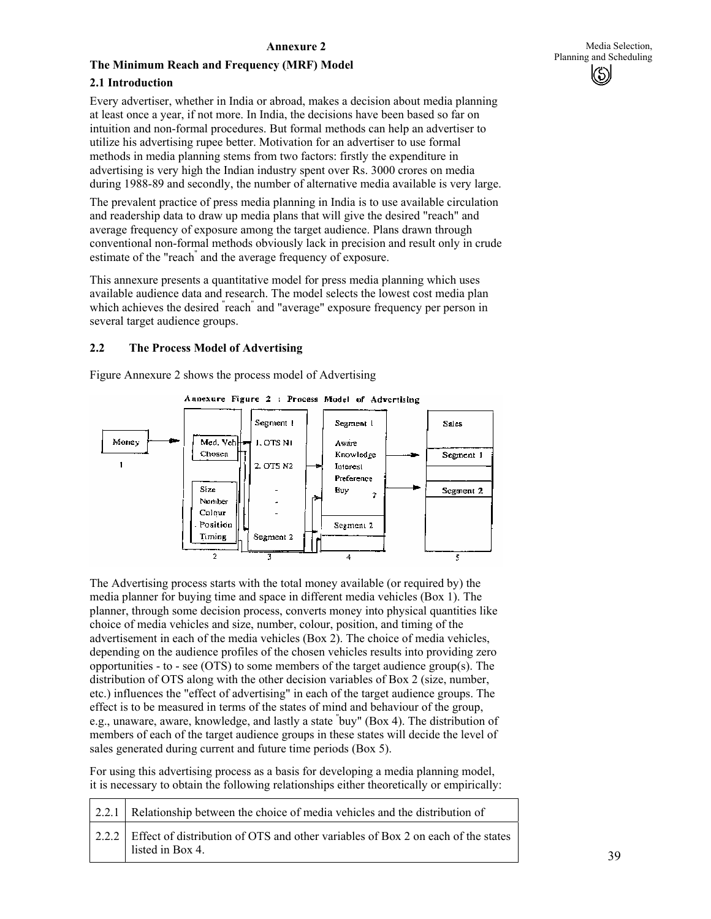# **The Minimum Reach and Frequency (MRF) Model**

# **2.1 Introduction**

Every advertiser, whether in India or abroad, makes a decision about media planning at least once a year, if not more. In India, the decisions have been based so far on intuition and non-formal procedures. But formal methods can help an advertiser to utilize his advertising rupee better. Motivation for an advertiser to use formal methods in media planning stems from two factors: firstly the expenditure in advertising is very high the Indian industry spent over Rs. 3000 crores on media during 1988-89 and secondly, the number of alternative media available is very large.

The prevalent practice of press media planning in India is to use available circulation and readership data to draw up media plans that will give the desired "reach" and average frequency of exposure among the target audience. Plans drawn through conventional non-formal methods obviously lack in precision and result only in crude estimate of the "reach" and the average frequency of exposure.

This annexure presents a quantitative model for press media planning which uses available audience data and research. The model selects the lowest cost media plan which achieves the desired <sup>"</sup>reach<sup>"</sup> and "average" exposure frequency per person in several target audience groups.

### **2.2 The Process Model of Advertising**

Figure Annexure 2 shows the process model of Advertising

Annexure Figure 2 : Process Model of Advertising Segment I Segment 1 Sales Money Med. Veh I. OTS NI Aware Chosen Knowledge Segment 1  $\mathbf{1}$ 2. OTS N2 Interest Preference Size **Buy** Segment 2 r Number Colour Position Segment 2 Timing Segment 2 ᠽ 5

The Advertising process starts with the total money available (or required by) the media planner for buying time and space in different media vehicles (Box 1). The planner, through some decision process, converts money into physical quantities like choice of media vehicles and size, number, colour, position, and timing of the advertisement in each of the media vehicles (Box 2). The choice of media vehicles, depending on the audience profiles of the chosen vehicles results into providing zero opportunities - to - see (OTS) to some members of the target audience group(s). The distribution of OTS along with the other decision variables of Box 2 (size, number, etc.) influences the "effect of advertising" in each of the target audience groups. The effect is to be measured in terms of the states of mind and behaviour of the group, e.g., unaware, aware, knowledge, and lastly a state " buy" (Box 4). The distribution of members of each of the target audience groups in these states will decide the level of sales generated during current and future time periods (Box 5).

For using this advertising process as a basis for developing a media planning model, it is necessary to obtain the following relationships either theoretically or empirically:

| 2.2.1 Relationship between the choice of media vehicles and the distribution of                            |
|------------------------------------------------------------------------------------------------------------|
| 2.2.2 Effect of distribution of OTS and other variables of Box 2 on each of the states<br>listed in Box 4. |

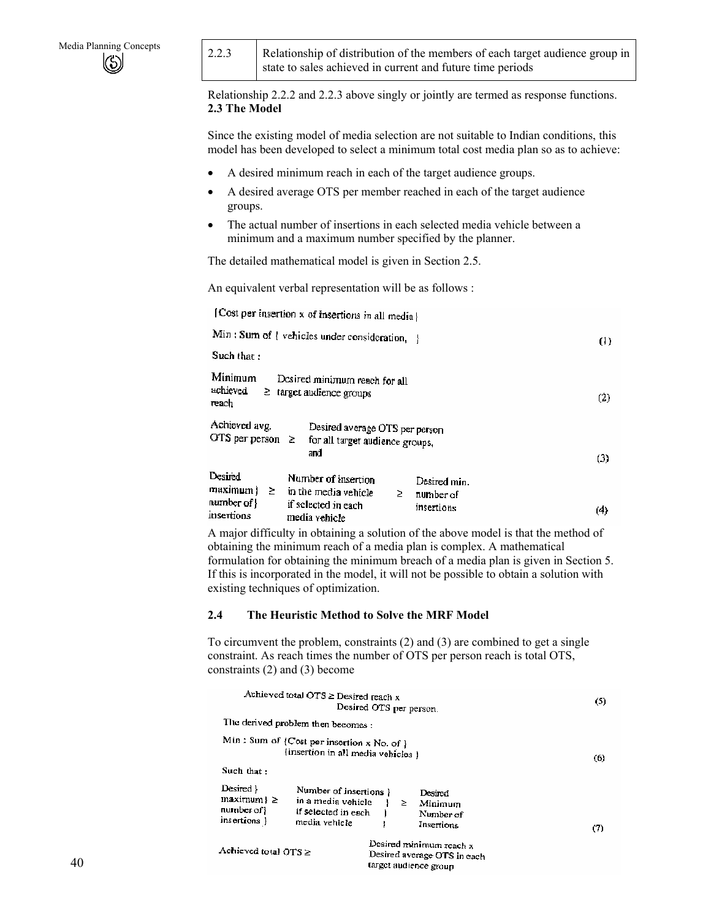Relationship 2.2.2 and 2.2.3 above singly or jointly are termed as response functions. **2.3 The Model** 

Since the existing model of media selection are not suitable to Indian conditions, this model has been developed to select a minimum total cost media plan so as to achieve:

- A desired minimum reach in each of the target audience groups.
- A desired average OTS per member reached in each of the target audience groups.
- The actual number of insertions in each selected media vehicle between a minimum and a maximum number specified by the planner.

The detailed mathematical model is given in Section 2.5.

An equivalent verbal representation will be as follows :

| [Cost per insertion x of insertions in all media]                                                                                                                                              |                  |
|------------------------------------------------------------------------------------------------------------------------------------------------------------------------------------------------|------------------|
| $Min: Sum of {$ vehicles under consideration, $\{$                                                                                                                                             | (1)              |
| Such that:                                                                                                                                                                                     |                  |
| Minimum<br>Desired minimum reach for all<br>achieved<br>$\geq$ target audience groups<br>reach                                                                                                 | $^{(2)}$         |
| Achieved avg.<br>Desired average OTS per person<br>OTS per person $\geq$<br>for all target audience groups,<br>and                                                                             | $\left(3\right)$ |
| Desired<br>Number of insertion<br>Desired min.<br>$maximum$ }<br>≥<br>in the media vehicle.<br>2<br>number of<br>number of<br>if selected in each<br>insertions<br>insertions<br>media vehicle | (4)              |

A major difficulty in obtaining a solution of the above model is that the method of obtaining the minimum reach of a media plan is complex. A mathematical formulation for obtaining the minimum breach of a media plan is given in Section 5. If this is incorporated in the model, it will not be possible to obtain a solution with existing techniques of optimization.

#### **2.4 The Heuristic Method to Solve the MRF Model**

To circumvent the problem, constraints (2) and (3) are combined to get a single constraint. As reach times the number of OTS per person reach is total OTS, constraints (2) and (3) become

|                                                       | Achieved total OTS $\geq$ Desired reach x<br>Desired OTS per person.                                                                       | (5) |
|-------------------------------------------------------|--------------------------------------------------------------------------------------------------------------------------------------------|-----|
|                                                       | The derived problem then becomes :                                                                                                         |     |
|                                                       | Min: Sum of $\{Cost\ per\ insertion\ x\ No.\ of\ }$<br>{insertion in all media vehicles }                                                  | (6) |
| Such that $\cdot$                                     |                                                                                                                                            |     |
| Desired<br>$maximum$ =<br>number of }<br>insertions } | Number of insertions }<br>Desired<br>in a media vehicle<br>><br>Minimum<br>if selected in each<br>Number of<br>media vehicle<br>Insertions | (7) |
| Achieved total $OTS \geq$                             | Desired minimum reach x<br>Desired average OTS in each                                                                                     |     |

target audience group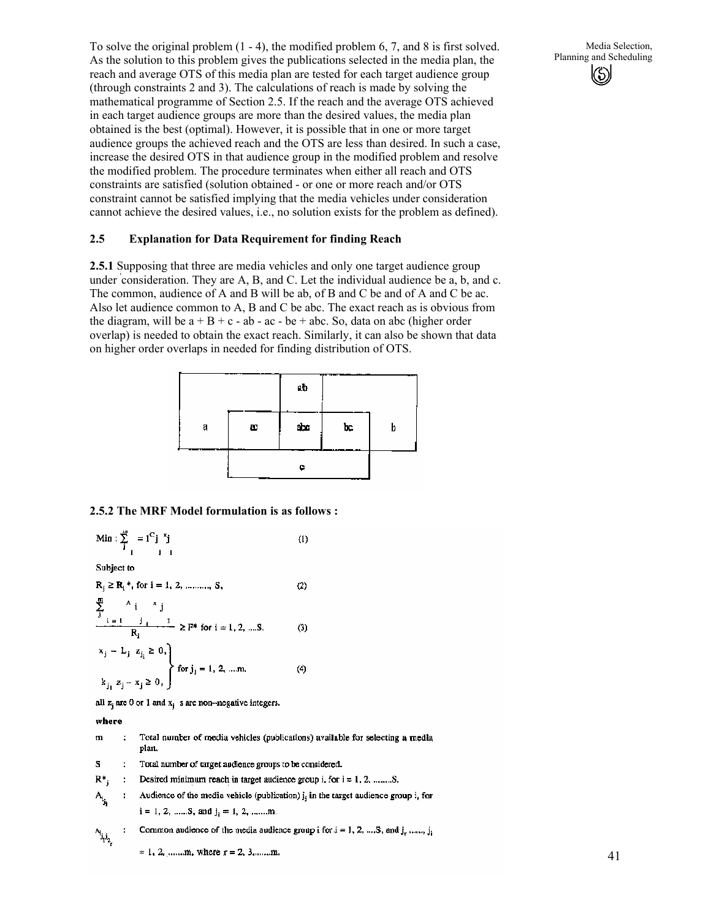To solve the original problem (1 - 4), the modified problem 6, 7, and 8 is first solved. As the solution to this problem gives the publications selected in the media plan, the reach and average OTS of this media plan are tested for each target audience group (through constraints 2 and 3). The calculations of reach is made by solving the mathematical programme of Section 2.5. If the reach and the average OTS achieved in each target audience groups are more than the desired values, the media plan obtained is the best (optimal). However, it is possible that in one or more target audience groups the achieved reach and the OTS are less than desired. In such a case, increase the desired OTS in that audience group in the modified problem and resolve the modified problem. The procedure terminates when either all reach and OTS constraints are satisfied (solution obtained - or one or more reach and/or OTS constraint cannot be satisfied implying that the media vehicles under consideration cannot achieve the desired values, i.e., no solution exists for the problem as defined).

### **2.5 Explanation for Data Requirement for finding Reach**

**2.5.1** Supposing that three are media vehicles and only one target audience group under ' consideration. They are A, B, and C. Let the individual audience be a, b, and c. The common, audience of A and B will be ab, of B and C be and of A and C be ac. Also let audience common to A, B and C be abc. The exact reach as is obvious from the diagram, will be  $a + B + c - ab - ac - be + abc$ . So, data on abc (higher order overlap) is needed to obtain the exact reach. Similarly, it can also be shown that data on higher order overlaps in needed for finding distribution of OTS.

|   |   | Ŕ.         |    |   |
|---|---|------------|----|---|
| a | œ | $_{\rm a}$ | bc | b |
|   |   | ¢          |    |   |

### **2.5.2 The MRF Model formulation is as follows :**

Min: 
$$
\sum_{j=1}^{m} = 1^{C_{j}} \sum_{j=1}^{x_{j}}
$$
 (1)  
Subject to  
 $R_{j} \ge R_{1} *_{1}$  for  $i = 1, 2, ........., S,$  (2)

$$
\sum_{j} A_{i} x_{j}
$$
  
\n
$$
R_{i} \ge F^{*} \text{ for } i = 1, 2, \dots S.
$$
 (3)  
\n
$$
x_{j} - L_{j} z_{j_{i}} \ge 0,
$$
  
\n
$$
k_{j_{1}} z_{j} - x_{j} \ge 0,
$$
 for  $j_{1} = 1, 2, \dots m,$  (4)

all  $z_i$  are 0 or 1 and  $x_i$  s are non-negative integers.

### where

| m | Total number of media vehicles (publications) available for selecting a media<br>plan. |
|---|----------------------------------------------------------------------------------------|
|   | Total number of target audience groups to be considered.                               |
|   |                                                                                        |

- $R^*$  : Desired minimum reach in target audience group i, for  $i = 1, 2, \dots, S$ .  $A_{i_{\mathbf{k}}}$ Audience of the media vehicle (publication)  $j_i$  in the target audience group i, for  $i = 1, 2, \dots S$ , and  $j_i = 1, 2, \dots m$ .
- Common audience of the media audience group i for  $i = 1, 2, ..., S$ , and  $j_r, ..., j_i$  $\mathbf{A}_{\mathbf{j}_1\mathbf{j}_2}$  $= 1, 2, \dots, m$ , where  $r = 2, 3, \dots, m$ .

Media Selection, Planning and Scheduling

 $\left(\zeta\right)$ 

41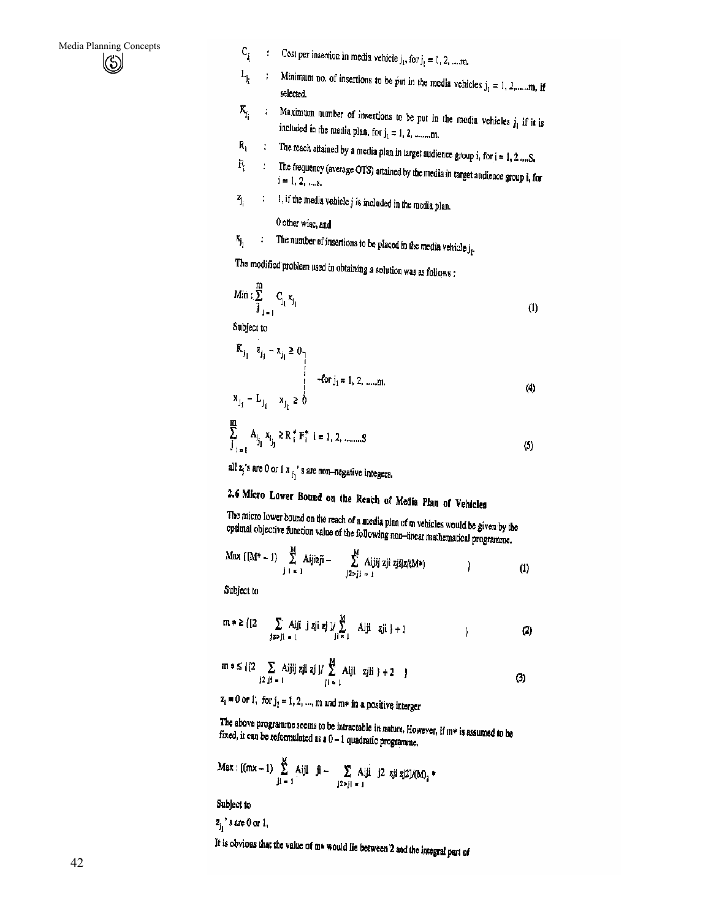- $\mathbf{C}_{\mathbf{j}_i}$ Cost per insertion in media vehicle  $j_1$ , for  $j_1 = 1, 2, \dots$ m. ÷
- $\mathbf{L}_{\mathbf{j}_t}$ Minimum no. of insertions to be put in the media vehicles  $j_1 = 1, 2, ..., m$ , if selected.  $\mathcal{V}^{\pm}$ selected.
- $\mathbf{K}_{\mathbf{j}_i}$ Maximum number of insertions to be put in the media vehicles  $j_1$  if it is included in the media plan for  $i_1$  if a  $\mathcal{L}^{\pm}$ included in the media plan, for  $j_1 = 1, 2, \dots, m$ .
- The reach attained by a media plan in target audience group i, for  $i = 1, 2...S$ .  $R_i$  $\ddot{\cdot}$
- The frequency (average OTS) attained by the media in target audience group i, for<br> $i = 1, 2, ..., s$ .  $F_{\rm r}$  $i = 1, 2, ..., s.$
- $l$ , if the media vehicle  $j$  is included in the media plan.  $\mathbf{z}_{j_i}$  $\ddot{\nu}$

0 other wise, and

The number of insertions to be placed in the media vehicle  $j_i$ .  $\mathbf{x}_{j_1}$  $\ddot{\psi}$ 

The modified problem used in obtaining a solution was as follows :

$$
\text{Min}: \sum_{j=1}^{m} C_{j_1} x_{j_1} \tag{1}
$$

Subject to

$$
\begin{aligned}\n\mathbf{K}_{j_1} & z_{j_i} - x_{j_i} \ge 0 \\
&\vdots \\
\mathbf{x}_{j_1} - \mathbf{L}_{j_1} & x_{j_1} \ge 0\n\end{aligned}
$$
\n
$$
\begin{aligned}\n&\text{for } j_1 = 1, 2, \dots, m,\n\end{aligned}
$$
\n
$$
(4)
$$

$$
\sum_{j}^{m} A_{i_{j}} X_{i_{j}} \ge R_{i}^{*} F_{i}^{*} \quad i = 1, 2, \dots, S
$$
 (5)

all  $z_j$ 's are 0 or 1  $x_{j_l}$ 's are non-negative integers.

# 2.6 Micro Lower Bound on the Reach of Media Plan of Vehicles

The micro lower bound on the reach of a media plan of m vehicles would be given by the<br>optimal objective function value of the following non-linear mathematic Liven by the optimal objective function value of the following non-linear mathematical programme.

Max 
$$
\left\{ [M^* - 1] \right\}
$$
  $\sum_{j=i-1}^{M} A_{ij} i z j i - \sum_{j2>j+i}^{M} A_{ij} i j z j i z j i j z / (M*)$  (1)

Subject to

$$
m * \geq \left\{ \begin{bmatrix} 2 & \sum_{jz > j_1} A_{ij} & jz_j & j \end{bmatrix} \sum_{j=x}^{M} A_{ij} & 2j & j+1 \end{bmatrix} \right\}
$$
 (2)

$$
m * \leq \{ [2 \sum_{j2} \sum_{j=1}^K A_{ij}^{ij}] \ z_{jl} \ z_{jl} \ y_{jl} \ \sum_{j1}^M A_{ij}^{ij} \ z_{jl}^{ij} \ + 2 \ \}
$$
 (3)

 $z_i = 0$  or 1, for  $j_i = 1, 2, ..., m$  and  $m *$  in a positive interger

The above programme seems to be intractable in nature. However, if  $m*$  is assumed to be fixed, it can be reformulated as a 0 - 1 quadratic processor  $m*$ fixed, it can be reformulated as  $a\theta - 1$  quadratic programme.

$$
\text{Max : } [(\text{mx} - 1) \sum_{j1}^{M} \text{Aijl} \quad j! = \sum_{j2 > j1} \text{Aijl} \quad j2 \text{ zji zj2} / (M)_2 \ast
$$

Subject to

$$
z_{j_1} \text{ is are 0 or 1.}
$$

It is obvious that the value of m\* would lie between 2 and the integral part of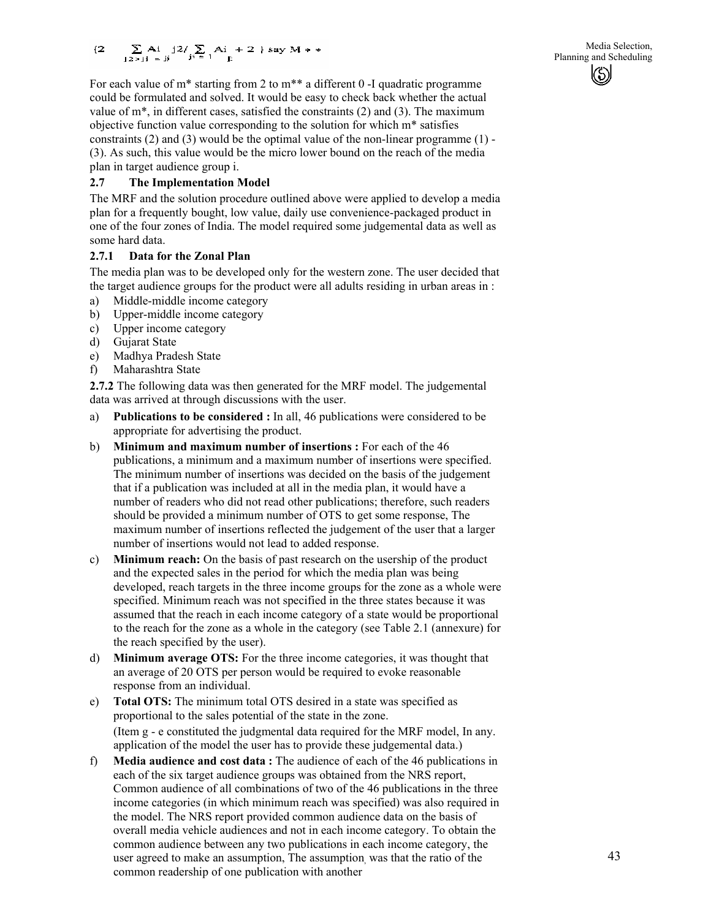$$
\{2 \qquad \sum_{j\, 2\, >\, j\, i \ \, =\, j\, j} A^i_j \sum_{j\, i \ \, \equiv\, 1} A^i_j \, +\, 2\, \mid\, \sup\, M \, * \, * \,
$$

Media Selection, Planning and Scheduling  $\left(\zeta\right)$ 

For each value of m<sup>\*</sup> starting from 2 to m<sup>\*\*</sup> a different 0 -I quadratic programme could be formulated and solved. It would be easy to check back whether the actual value of m\*, in different cases, satisfied the constraints (2) and (3). The maximum objective function value corresponding to the solution for which m\* satisfies constraints (2) and (3) would be the optimal value of the non-linear programme (1) - (3). As such, this value would be the micro lower bound on the reach of the media plan in target audience group i.

### **2.7 The Implementation Model**

The MRF and the solution procedure outlined above were applied to develop a media plan for a frequently bought, low value, daily use convenience-packaged product in one of the four zones of India. The model required some judgemental data as well as some hard data.

### **2.7.1 Data for the Zonal Plan**

The media plan was to be developed only for the western zone. The user decided that the target audience groups for the product were all adults residing in urban areas in :

- a) Middle-middle income category
- b) Upper-middle income category
- c) Upper income category
- d) Gujarat State
- e) Madhya Pradesh State
- f) Maharashtra State

**2.7.2** The following data was then generated for the MRF model. The judgemental data was arrived at through discussions with the user.

- a) **Publications to be considered :** In all, 46 publications were considered to be appropriate for advertising the product.
- b) **Minimum and maximum number of insertions :** For each of the 46 publications, a minimum and a maximum number of insertions were specified. The minimum number of insertions was decided on the basis of the judgement that if a publication was included at all in the media plan, it would have a number of readers who did not read other publications; therefore, such readers should be provided a minimum number of OTS to get some response, The maximum number of insertions reflected the judgement of the user that a larger number of insertions would not lead to added response.
- c) **Minimum reach:** On the basis of past research on the usership of the product and the expected sales in the period for which the media plan was being developed, reach targets in the three income groups for the zone as a whole were specified. Minimum reach was not specified in the three states because it was assumed that the reach in each income category of a state would be proportional to the reach for the zone as a whole in the category (see Table 2.1 (annexure) for the reach specified by the user).
- d) **Minimum average OTS:** For the three income categories, it was thought that an average of 20 OTS per person would be required to evoke reasonable response from an individual.
- e) **Total OTS:** The minimum total OTS desired in a state was specified as proportional to the sales potential of the state in the zone. (Item g - e constituted the judgmental data required for the MRF model, In any. application of the model the user has to provide these judgemental data.)
- f) **Media audience and cost data :** The audience of each of the 46 publications in each of the six target audience groups was obtained from the NRS report, Common audience of all combinations of two of the 46 publications in the three income categories (in which minimum reach was specified) was also required in the model. The NRS report provided common audience data on the basis of overall media vehicle audiences and not in each income category. To obtain the common audience between any two publications in each income category, the user agreed to make an assumption, The assumption, was that the ratio of the common readership of one publication with another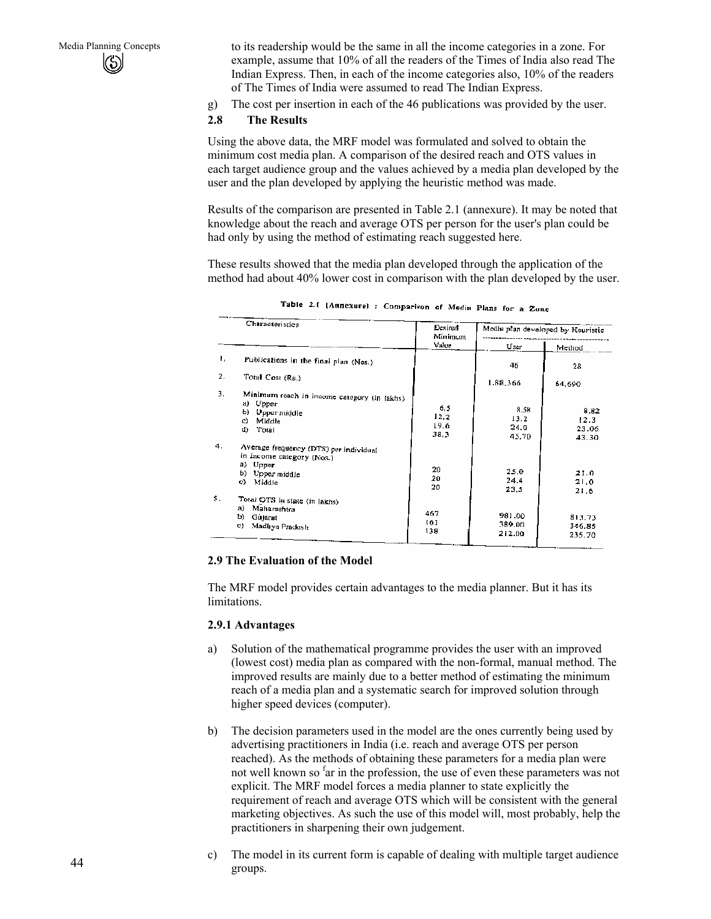Media Planning Concepts to its readership would be the same in all the income categories in a zone. For example, assume that 10% of all the readers of the Times of India also read The Indian Express. Then, in each of the income categories also, 10% of the readers of The Times of India were assumed to read The Indian Express.

g) The cost per insertion in each of the 46 publications was provided by the user.

### **2.8 The Results**

Using the above data, the MRF model was formulated and solved to obtain the minimum cost media plan. A comparison of the desired reach and OTS values in each target audience group and the values achieved by a media plan developed by the user and the plan developed by applying the heuristic method was made.

Results of the comparison are presented in Table 2.1 (annexure). It may be noted that knowledge about the reach and average OTS per person for the user's plan could be had only by using the method of estimating reach suggested here.

These results showed that the media plan developed through the application of the method had about 40% lower cost in comparison with the plan developed by the user.

|    | Characteristics                                                                                                       | Desired<br>Minimum          | Media plan developed by Heuristic |                                |  |
|----|-----------------------------------------------------------------------------------------------------------------------|-----------------------------|-----------------------------------|--------------------------------|--|
|    |                                                                                                                       | Value                       | User                              | Method                         |  |
| ŧ. | Publications in the final plan (Nos.)                                                                                 |                             | 46                                | 28                             |  |
| 2. | Total Cost (Rs.)                                                                                                      |                             | 1.88,366                          | 64,690                         |  |
| з. | Minimum reach in income category (in lakhs)<br>a) Upper<br>Upper middle<br>ы)<br>C)<br>Middle<br>đ)<br>Total          | 6,5<br>12,2<br>19.6<br>38.3 | 8.58<br>13.2<br>24.0<br>45.70     | 8.82<br>12.3<br>23.06<br>43.30 |  |
| 4. | Average frequency (DTS) per individual<br>in income category (Nos.)<br>a) Upper<br>b)<br>Upper middle<br>e)<br>Middle | 20<br>20<br>20              | 25.0<br>24.4<br>23.5              | 21.0<br>21.0<br>21.6           |  |
| 5. | Total OTS in state (in lakhs)<br>Maharashtra<br>a)<br>Ъ)<br>Gujarat<br>c)<br>Madhya Pradesh                           | 467<br>[6]<br>138           | 981.00<br>389.00<br>212.00        | 813.73<br>346.85<br>235.70     |  |

Table 2.1 (Aunexure) : Comparison of Media Plans for a Zone

### **2.9 The Evaluation of the Model**

The MRF model provides certain advantages to the media planner. But it has its limitations.

### **2.9.1 Advantages**

- a) Solution of the mathematical programme provides the user with an improved (lowest cost) media plan as compared with the non-formal, manual method. The improved results are mainly due to a better method of estimating the minimum reach of a media plan and a systematic search for improved solution through higher speed devices (computer).
- b) The decision parameters used in the model are the ones currently being used by advertising practitioners in India (i.e. reach and average OTS per person reached). As the methods of obtaining these parameters for a media plan were not well known so <sup>f</sup> ar in the profession, the use of even these parameters was not explicit. The MRF model forces a media planner to state explicitly the requirement of reach and average OTS which will be consistent with the general marketing objectives. As such the use of this model will, most probably, help the practitioners in sharpening their own judgement.
- c) The model in its current form is capable of dealing with multiple target audience groups.